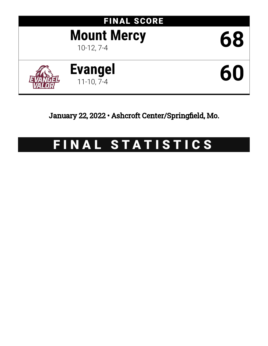# FINAL SCORE **Mount Mercy** 68 **Evangel** 11-10, 7-4 **60**

January 22, 2022 • Ashcroft Center/Springfield, Mo.

# FINAL STATISTICS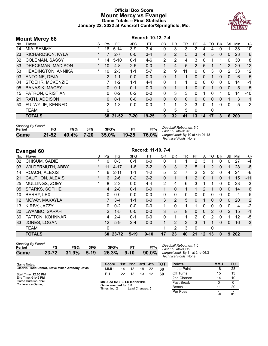#### **Official Box Score Mount Mercy vs Evangel Game Totals -- Final Statistics January 22, 2022 at Ashcroft Center/Springfield, Mo.**



|     | <b>Mount Mercy 68</b>     | Record: 10-12, 7-4 |               |          |          |           |           |          |              |                |              |          |              |              |       |       |
|-----|---------------------------|--------------------|---------------|----------|----------|-----------|-----------|----------|--------------|----------------|--------------|----------|--------------|--------------|-------|-------|
| No. | Player                    | S                  | Pts           | FG.      | 3FG      | FТ        | <b>OR</b> | DR       | TR           | PF             | A            | то       | <b>B</b> lk  | Stl          | Min   | $+/-$ |
| 14  | MIA, SAMMY                | $\ast$             | 16            | $5 - 14$ | $3-9$    | $3 - 4$   | 0         | 3        | 3            | 2              | 4            | 4        |              |              | 38    | 10    |
| 23  | RICHARDSON, KYLA          | $\star$            |               | $2 - 7$  | $0 - 0$  | $3 - 4$   | 3         | 2        | 5            | 3              | 4            | 5        | $\Omega$     | 0            | 23    | 6     |
| 32  | <b>COLEMAN, SASSY</b>     | *                  | 14            | $5 - 10$ | $0 - 1$  | $4-6$     | 2         | 2        | 4            | 3              | $\mathbf{0}$ |          |              | 0            | 30    | 8     |
| 33  | DRECKMAN, MADISON         | $\ast$             | 10            | $4 - 8$  | $2 - 5$  | $0 - 0$   |           | 4        | 5            | $\overline{2}$ | 5            |          |              | 2            | 29    | 12    |
| 53  | <b>HEADINGTON, ANNIKA</b> | $\ast$             | 10            | $2 - 3$  | $1 - 1$  | $5 - 7$   | 2         | 9        | 11           | 0              | 0            | 3        | $\Omega$     | 2            | 33    | 12    |
| 03  | ANTOINE, DEJA             |                    | $\mathcal{P}$ | $1 - 1$  | $0 - 0$  | $0 - 0$   | $\Omega$  | 1        | 1            | $\Omega$       | 0            |          | $\mathbf{0}$ | 0            | 6     | $-5$  |
| 04  | STOEHR, MCKENZIE          |                    |               | $1-2$    | $1 - 1$  | $4 - 4$   | 0         |          |              | 0              | 0            | 0        | $\Omega$     | 0            | 14    | -1    |
| 05  | <b>BANASIK, MACEY</b>     |                    | 0             | $0 - 1$  | $0 - 1$  | $0 - 0$   | $\Omega$  | 1        | 1            | $\Omega$       | 0            |          | $\Omega$     | 0            | 5     | $-5$  |
| 15  | PATRON, CRISTIAN          |                    | 0             | $0 - 2$  | $0 - 2$  | $0 - 0$   | $\Omega$  | 3        | 3            | 0              | 1            | 0        | 1            | 0            | 14    | -10   |
| 21  | RATH, ADDISON             |                    | 0             | $0 - 1$  | $0 - 0$  | $0 - 0$   | $\Omega$  | $\Omega$ | $\mathbf{0}$ | $\Omega$       | 0            | $\Omega$ | $\Omega$     | 1            | 3     | 1     |
| 50  | FULWYLIE, KENNEDI         |                    | 2             | $1 - 3$  | $0 - 0$  | $0 - 0$   | 1         | 1        | 2            | 3              | $\Omega$     |          | $\Omega$     | $\mathbf{0}$ | 5     | 2     |
|     | <b>TEAM</b>               |                    | 0             |          |          |           | 0         | 5        | 5            | $\Omega$       |              | 0        |              |              |       |       |
|     | <b>TOTALS</b>             |                    |               | 68 21-52 | $7 - 20$ | $19 - 25$ | 9         | 32       | 41           | 13             | 14           | 17       | 3            |              | 6 200 |       |
|     |                           |                    |               |          |          |           |           |          |              |                |              |          |              |              |       |       |

| <b>Shooting By Period</b> |    |     |     |                                    |           |     |
|---------------------------|----|-----|-----|------------------------------------|-----------|-----|
| Period                    | FG | FG% | 3FG | 3FG%                               | <b>ET</b> | FT% |
| <b>Game</b>               |    |     |     | 21-52 40.4% 7-20 35.0% 19-25 76.0% |           |     |

*Deadball Rebounds:* 5,0 *Last FG:* 4th-01:48 *Largest lead:* By 10 at 4th-01:48 *Technical Fouls:* None.

|     | <b>Evangel 60</b>       | Record: 11-10, 7-4 |                 |          |          |           |                |                |    |                |               |              |            |                |     |       |
|-----|-------------------------|--------------------|-----------------|----------|----------|-----------|----------------|----------------|----|----------------|---------------|--------------|------------|----------------|-----|-------|
| No. | Player                  | S                  | Pts             | FG       | 3FG      | <b>FT</b> | 0 <sub>R</sub> | DR             | TR | PF             | A             | TO           | <b>Blk</b> | Stl            | Min | $+/-$ |
| 02  | CHISUM, SADIE           | $\ast$             | 0               | $0 - 3$  | $0 - 1$  | $0-0$     | 0              |                |    | 2              | 3             |              | 0          | 0              | 27  | $-4$  |
| 03  | <b>WILDERMUTH, ABBY</b> | $\ast$             | 11              | $4 - 17$ | $1 - 8$  | $2 - 2$   | $\mathbf{0}$   | 3              | 3  | 5              |               | 2            | 0          |                | 28  | -8    |
| 14  | ROACH, ALEXIS           | $\star$            | 6               | $2 - 11$ | $1 - 1$  | $1 - 2$   | 5              | 2              | 7  | $\overline{2}$ | 3             | 2            | $\Omega$   | 4              | 24  | -6    |
| 21  | <b>CAUTHON, ALEXIS</b>  | $\star$            | 6               | $2 - 6$  | $0 - 2$  | $2 - 2$   | $\Omega$       | 1              | 1  | 2              | $\Omega$      |              | $\Omega$   | 1              | 15  | $-11$ |
| 25  | MULLINGS, ZOEY          | $^\star$           | 8               | $2 - 3$  | $0 - 0$  | $4 - 4$   | 2              | 4              | 6  | 3              |               |              | $\Omega$   | $\mathbf{0}$   | 23  | $-3$  |
| 05  | SPARKS, SOPHIE          |                    | 4               | $2 - 8$  | $0 - 1$  | $0-0$     | 1              | $\Omega$       | 1  | 1              | $\mathcal{P}$ | 1            | $\Omega$   | $\mathbf{0}$   | 14  | 6     |
| 10  | <b>BERRY, LEXI</b>      |                    | 0               | $0-0$    | $0 - 0$  | $0-0$     | 0              | $\mathbf{0}$   | 0  | 0              | $\Omega$      | $\Omega$     | $\Omega$   | 0              | 4   | -5    |
| 12  | MCVAY, MAKAYLA          |                    |                 | $3 - 4$  | $1 - 1$  | $0-0$     | 3              | 2              | 5  | 0              |               | $\mathbf{0}$ | $\Omega$   | $\mathbf{0}$   | 20  | 2     |
| 13  | KIRBY, JAZZY            |                    | 0               | $0 - 2$  | $0 - 0$  | $0-0$     | 1              | $\Omega$       | 1  | 1              | $\Omega$      | 0            | $\Omega$   | $\mathbf{0}$   | 4   | $-2$  |
| 20  | LWAMBO, SARAH           |                    | $\overline{2}$  | $1 - 5$  | $0 - 0$  | $0-0$     | 3              | 5              | 8  | 0              | $\mathbf{0}$  | 2            | $\Omega$   | $\overline{2}$ | 15  | $-1$  |
| 30  | PATTON, KOHNNAR         |                    | 4               | $2 - 4$  | $0 - 1$  | $0 - 0$   | 0              |                | 1  | 2              | $\Omega$      | 2            | 0          |                | 12  | $-5$  |
| 33  | JONES, LOGAN            |                    | 12 <sup>2</sup> | $5-9$    | $2 - 4$  | $0-0$     | 1              | $\mathcal{P}$  | 3  | 3              |               | 1            | $\Omega$   | $\Omega$       | 16  | $-3$  |
|     | <b>TEAM</b>             |                    | 0               |          |          |           |                | $\overline{2}$ | 3  | 0              |               | 0            |            |                |     |       |
|     | <b>TOTALS</b>           |                    | 60              | 23-72    | $5 - 19$ | $9 - 10$  | 17             | 23             | 40 | 21             | 12            | 13           | 0          | 9              | 202 |       |

*Deadball Rebounds:* 1,0 *Last FG:* 4th-00:19 *Largest lead:* By 11 at 2nd-06:31 *Technical Fouls:* None.

| Game Notes:                                         | <b>Score</b>                                   | 1st \ | 2nd             | 3rd | 4th | <b>TOT</b> | <b>Points</b> | <b>MMU</b> | EU  |
|-----------------------------------------------------|------------------------------------------------|-------|-----------------|-----|-----|------------|---------------|------------|-----|
| Officials: Todd Dahlof, Steve Miller, Anthony Davis | MMU                                            | 14    | 13              | 19  | 22  | 68         | In the Paint  | 18         | 28  |
| Start Time: 12:00 PM                                | EU                                             | 22    | 13              | 13  | 12  | 60         | Off Turns     | 15         | 13  |
| End Time: 01:49 PM                                  |                                                |       |                 |     |     |            | 2nd Chance    | 14         | 10  |
| Game Duration: 1:49<br>Conference Game;             | MMU led for 0:0. EU led for 0:0.               |       |                 |     |     |            | Fast Break    |            |     |
|                                                     | Game was tied for 0:0.<br>Times tied: <b>2</b> |       | Lead Changes: 5 |     |     |            | Bench         |            | 29  |
|                                                     |                                                |       |                 |     |     |            | Per Poss      | 0/0        | 0/0 |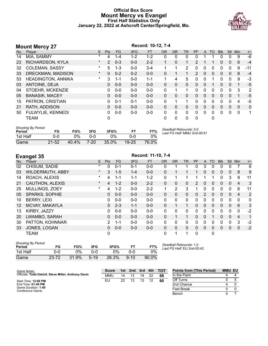#### **Official Box Score Mount Mercy vs Evangel First Half Statistics Only January 22, 2022 at Ashcroft Center/Springfield, Mo.**



#### **Mount Mercy 27 Record: 10-12, 7-4**<br>No. Player **Record: 10-12, 7-4**<br>S Pts FG 3FG FT OR No. Player S Pts FG 3FG FT OR DR TR PF A TO Blk Stl Min +/- 14 MIA, SAMMY \* 4 1-4 1-2 1-2 0 0 0 0 1 1 0 0 9 -6 23 RICHARDSON, KYLA \* 2 0-3 0-0 2-2 1 0 1 2 1 1 0 0 6 -4 32 COLEMAN, SASSY \* 5 1-3 0-0 3-4 1 1 2 0 0 0 0 0 9 -11 33 DRECKMAN, MADISON \* 0 0-2 0-2 0-0 0 1 1 2 0 0 0 0 8 -4 53 HEADINGTON, ANNIKA \* 3 1-1 0-0 1-1 1 4 5 0 0 1 0 0 9 -3 03 ANTOINE, DEJA 0 0-0 0-0 0-0 0 0 0 0 0 1 0 0 1 -5 04 STOEHR, MCKENZIE 0 0-0 0-0 0-0 0 1 1 0 0 0 0 0 3 2 05 BANASIK, MACEY 0 0-0 0-0 0-0 0 0 0 0 0 0 0 0 1 -5 15 PATRON, CRISTIAN 0 0-1 0-1 0-0 0 1 1 0 0 0 0 0 4 -5 21 RATH, ADDISON 0 0-0 0-0 0-0 0 0 0 0 0 0 0 0 0 0 50 FULWYLIE, KENNEDI 0 0-0 0-0 0-0 0 0 0 0 0 0 0 0 0 1 TEAM 0 0 0 0 0 0 *Shooting By Period* **Period FG FG% 3FG 3FG% FT FT%** 1st Half 0-0 0% 0-0 0% 0-0 0% *Deadball Rebounds:* 5,0 *Last FG Half:* MMU 2nd-00:51

| Game                          | $21 - 52$ | 40.4% | $7 - 20$ | $35.0\%$        |            | $19 - 25$       | 76.0%              |    |     |     |     |             |  |
|-------------------------------|-----------|-------|----------|-----------------|------------|-----------------|--------------------|----|-----|-----|-----|-------------|--|
| <b>Evangel 35</b>             |           |       |          |                 |            |                 | Record: 11-10, 7-4 |    |     |     |     |             |  |
| $N_{\alpha}$<br><b>Dlover</b> |           |       |          | D <sub>to</sub> | $E^{\sim}$ | 2E <sub>C</sub> | ст                 | 0P | DD. | TD. | DE. | $\Lambda$ T |  |

| No. | Player                  | S       | <b>Pts</b>    | FG.     | 3FG     | <b>FT</b> | <b>OR</b>    | DR       | TR           | PF | A            | TO       | <b>Blk</b> | Stl          | Min            | $+/-$ |
|-----|-------------------------|---------|---------------|---------|---------|-----------|--------------|----------|--------------|----|--------------|----------|------------|--------------|----------------|-------|
| 02  | CHISUM, SADIE           | $\ast$  | 0             | $0 - 1$ | $0 - 1$ | $0 - 0$   | 0            |          |              | 0  | 3            | 0        |            | 0            |                | 6     |
| 03  | <b>WILDERMUTH, ABBY</b> | $\star$ | 3             | $1 - 5$ | $1 - 4$ | $0 - 0$   | $\Omega$     |          |              |    | 0            | $\Omega$ | 0          | 0            | 8              | 9     |
| 14  | ROACH, ALEXIS           | $\ast$  | 4             | $1 - 1$ | $1 - 1$ | $1 - 2$   | 0            |          | 1            |    |              |          | 0          | 3            | 9              | 11    |
| 21  | CAUTHON, ALEXIS         | $\star$ | 4             | $1 - 2$ | $0 - 0$ | $2 - 2$   | $\Omega$     | 0        | 0            | 2  | $\mathbf{0}$ | $\Omega$ | 0          | $\Omega$     | $\overline{4}$ | 3     |
| 25  | <b>MULLINGS, ZOEY</b>   | $\star$ | 4             | $1 - 2$ | $0 - 0$ | $2 - 2$   | 1            | 2        | 3            |    | 0            | $\Omega$ | 0          | 0            | 6              | 11    |
| 05  | SPARKS, SOPHIE          |         | $\Omega$      | $0 - 0$ | $0 - 0$ | $0 - 0$   | $\mathbf{0}$ | $\Omega$ | 0            | 0  | 2            | $\Omega$ | 0          | $\mathbf{0}$ | $\overline{4}$ | 2     |
| 10  | <b>BERRY, LEXI</b>      |         | 0             | $0 - 0$ | $0 - 0$ | $0 - 0$   | 0            | 0        | 0            | 0  | 0            | 0        | 0          | 0            | 0              | 0     |
| 12  | MCVAY, MAKAYLA          |         | 5             | $2 - 3$ | $1 - 1$ | $0 - 0$   | $\Omega$     |          | 1            | 0  | $\mathbf{0}$ | $\Omega$ | 0          | $\Omega$     | 6              | 3     |
| 13  | KIRBY, JAZZY            |         | 0             | $0 - 0$ | $0 - 0$ | $0 - 0$   | $\Omega$     | 0        | 0            | 0  | $\Omega$     | 0        | 0          | $\Omega$     | $\Omega$       | $-2$  |
| 20  | LWAMBO, SARAH           |         | $\Omega$      | $0 - 0$ | $0 - 0$ | $0 - 0$   | $\Omega$     |          | $\mathbf{1}$ | 0  | $\Omega$     |          | 0          | $\Omega$     | $\overline{4}$ | 1     |
| 30  | PATTON, KOHNNAR         |         | $\mathcal{P}$ | $1 - 1$ | $0 - 0$ | $0 - 0$   | 0            | 0        | 0            | 0  | $\mathbf{0}$ | $\Omega$ | 0          | $\Omega$     | 3              | $-2$  |
| 33  | JONES, LOGAN            |         | 0             | $0 - 0$ | $0-0$   | $0 - 0$   | $\Omega$     | $\Omega$ | 0            | 0  | $\mathbf{0}$ | $\Omega$ | $\Omega$   | $\Omega$     | $\mathbf{0}$   | $-2$  |
|     | TEAM                    |         | 0             |         |         |           | 0            |          | 1            | 0  |              | 0        |            |              |                |       |

| Shooting By Period<br>Period | FG        | FG%   | 3FG      | 3FG%  |          | FT%   | Deadball Rebounds: 1,0<br>Last FG Half: EU 2nd-00:42 |
|------------------------------|-----------|-------|----------|-------|----------|-------|------------------------------------------------------|
| 1st Half                     | . ດ       | ገ%    | ი-ი      | 0%    |          | $0\%$ |                                                      |
| Game                         | $23 - 72$ | 31.9% | $5 - 19$ | 26.3% | $9 - 10$ | 90.0% |                                                      |

*Shooting By Period*

| Game Notes:                                         | <b>Score</b> |    | 1st 2nd | 3rd | 4th | <b>TOT</b> | <b>Points from (This Period)</b> | <b>MMU EU</b> |  |
|-----------------------------------------------------|--------------|----|---------|-----|-----|------------|----------------------------------|---------------|--|
| Officials: Todd Dahlof, Steve Miller, Anthony Davis | <b>MMU</b>   | 14 | 13      | 19  | 22  | 68         | In the Paint                     |               |  |
| Start Time: 12:00 PM                                | EU           | 22 | 13      | 13  |     | 60         | Off Turns                        |               |  |
| End Time: 01:49 PM                                  |              |    |         |     |     |            | 2nd Chance                       |               |  |
| Game Duration: 1:49<br>Conference Game;             |              |    |         |     |     |            | <b>Fast Break</b>                |               |  |
|                                                     |              |    |         |     |     |            | Bench                            |               |  |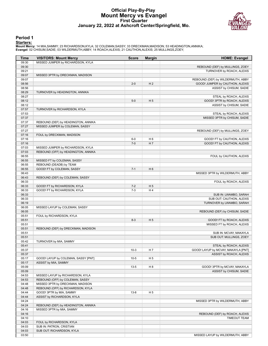#### **Official Play-By-Play Mount Mercy vs Evangel First Quarter January 22, 2022 at Ashcroft Center/Springfield, Mo.**



#### **Period 1**

**Starters:**<br>Mount Mercy: 14 MIA,SAMMY; 23 RICHARDSON,KYLA; 32 COLEMAN,SASSY; 33 DRECKMAN,MADISON; 53 HEADINGTON,ANNIKA;<br>Evangel: 02 CHISUM,SADIE; 03 WILDERMUTH,ABBY; 14 ROACH,ALEXIS; 21 CAUTHON,ALEXIS; 25 MULLINGS,ZOEY;

| <b>Time</b>    | <b>VISITORS: Mount Mercy</b>        | <b>Score</b> | <b>Margin</b>  | <b>HOME: Evangel</b>                                    |
|----------------|-------------------------------------|--------------|----------------|---------------------------------------------------------|
| 09:30          | MISSED JUMPER by RICHARDSON, KYLA   |              |                |                                                         |
| 09:30          |                                     |              |                | REBOUND (DEF) by MULLINGS, ZOEY                         |
| 09:21          |                                     |              |                | TURNOVER by ROACH, ALEXIS                               |
| 09:07          | MISSED 3PTR by DRECKMAN, MADISON    |              |                |                                                         |
| 09:07          |                                     |              |                | REBOUND (DEF) by WILDERMUTH, ABBY                       |
| 08:56          |                                     | $2 - 0$      | H <sub>2</sub> | GOOD! JUMPER by CAUTHON, ALEXIS                         |
| 08:56          |                                     |              |                | ASSIST by CHISUM, SADIE                                 |
| 08:29          | TURNOVER by HEADINGTON, ANNIKA      |              |                |                                                         |
| 08:27          |                                     |              |                | STEAL by ROACH, ALEXIS                                  |
| 08:12          |                                     | $5-0$        | H <sub>5</sub> | GOOD! 3PTR by ROACH, ALEXIS                             |
| 08:12          |                                     |              |                | ASSIST by CHISUM, SADIE                                 |
| 07:57<br>07:53 | TURNOVER by RICHARDSON, KYLA        |              |                | STEAL by ROACH, ALEXIS                                  |
| 07:37          |                                     |              |                | MISSED 3PTR by CHISUM, SADIE                            |
| 07:37          | REBOUND (DEF) by HEADINGTON, ANNIKA |              |                |                                                         |
| 07:27          | MISSED JUMPER by COLEMAN, SASSY     |              |                |                                                         |
| 07:27          |                                     |              |                | REBOUND (DEF) by MULLINGS, ZOEY                         |
| 07:16          | FOUL by DRECKMAN, MADISON           |              |                |                                                         |
| 07:16          |                                     | $6-0$        | H <sub>6</sub> | GOOD! FT by CAUTHON, ALEXIS                             |
| 07:16          |                                     | $7 - 0$      | H 7            | GOOD! FT by CAUTHON, ALEXIS                             |
| 07:03          | MISSED JUMPER by RICHARDSON, KYLA   |              |                |                                                         |
| 07:03          | REBOUND (OFF) by HEADINGTON, ANNIKA |              |                |                                                         |
| 06:55          |                                     |              |                | FOUL by CAUTHON, ALEXIS                                 |
| 06:55          | MISSED FT by COLEMAN, SASSY         |              |                |                                                         |
| 06:55          | REBOUND (DEADB) by TEAM             |              |                |                                                         |
| 06:55          | GOOD! FT by COLEMAN, SASSY          | $7 - 1$      | H <sub>6</sub> |                                                         |
| 06:43          |                                     |              |                | MISSED 3PTR by WILDERMUTH, ABBY                         |
| 06:43          | REBOUND (DEF) by COLEMAN, SASSY     |              |                |                                                         |
| 06:33          |                                     |              |                | FOUL by ROACH, ALEXIS                                   |
| 06:33          | GOOD! FT by RICHARDSON, KYLA        | $7 - 2$      | H <sub>5</sub> |                                                         |
| 06:33          | GOOD! FT by RICHARDSON, KYLA        | $7 - 3$      | H4             |                                                         |
| 06:33          |                                     |              |                | SUB IN: LWAMBO, SARAH                                   |
| 06:33          |                                     |              |                | SUB OUT: CAUTHON, ALEXIS                                |
| 06:19          |                                     |              |                | TURNOVER by LWAMBO, SARAH                               |
| 06:05          | MISSED LAYUP by COLEMAN, SASSY      |              |                |                                                         |
| 06:05          |                                     |              |                | REBOUND (DEF) by CHISUM, SADIE                          |
| 05:51          | FOUL by RICHARDSON, KYLA            | $8 - 3$      | H <sub>5</sub> |                                                         |
| 05:51<br>05:51 |                                     |              |                | GOOD! FT by ROACH, ALEXIS<br>MISSED FT by ROACH, ALEXIS |
| 05:51          | REBOUND (DEF) by DRECKMAN, MADISON  |              |                |                                                         |
| 05:51          |                                     |              |                | SUB IN: MCVAY, MAKAYLA                                  |
| 05:51          |                                     |              |                | SUB OUT: MULLINGS, ZOEY                                 |
| 05:42          | TURNOVER by MIA, SAMMY              |              |                |                                                         |
| 05:41          |                                     |              |                | STEAL by ROACH, ALEXIS                                  |
| 05:37          |                                     | $10-3$       | H 7            | GOOD! LAYUP by MCVAY, MAKAYLA [PNT]                     |
| 05:37          |                                     |              |                | ASSIST by ROACH, ALEXIS                                 |
| 05:17          | GOOD! LAYUP by COLEMAN, SASSY [PNT] | $10-5$       | H <sub>5</sub> |                                                         |
| 05:17          | ASSIST by MIA, SAMMY                |              |                |                                                         |
| 05:09          |                                     | $13 - 5$     | H <sub>8</sub> | GOOD! 3PTR by MCVAY, MAKAYLA                            |
| 05:09          |                                     |              |                | ASSIST by CHISUM, SADIE                                 |
| 04:53          | MISSED LAYUP by RICHARDSON, KYLA    |              |                |                                                         |
| 04:53          | REBOUND (OFF) by COLEMAN, SASSY     |              |                |                                                         |
| 04:48          | MISSED 3PTR by DRECKMAN, MADISON    |              |                |                                                         |
| 04:48          | REBOUND (OFF) by RICHARDSON, KYLA   |              |                |                                                         |
| 04:44          | GOOD! 3PTR by MIA, SAMMY            | $13 - 8$     | H 5            |                                                         |
| 04:44          | ASSIST by RICHARDSON, KYLA          |              |                |                                                         |
| 04:24          |                                     |              |                | MISSED 3PTR by WILDERMUTH, ABBY                         |
| 04:24          | REBOUND (DEF) by HEADINGTON, ANNIKA |              |                |                                                         |
| 04:16          | MISSED 3PTR by MIA, SAMMY           |              |                |                                                         |
| 04:16          |                                     |              |                | REBOUND (DEF) by ROACH, ALEXIS                          |
| 04:10          |                                     |              |                | <b>TIMEOUT TEAM</b>                                     |
| 04:03          | FOUL by RICHARDSON, KYLA            |              |                |                                                         |
| 04:03          | SUB IN: PATRON, CRISTIAN            |              |                |                                                         |
| 04:03          | SUB OUT: RICHARDSON, KYLA           |              |                |                                                         |
| 03:50          |                                     |              |                | MISSED LAYUP by WILDERMUTH, ABBY                        |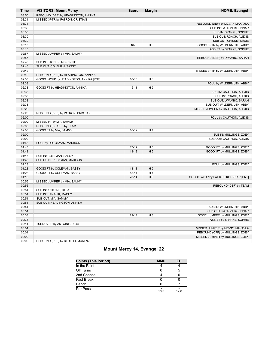| <b>Time</b> | <b>VISITORS: Mount Mercy</b>            | <b>Score</b> | <b>Margin</b>  | <b>HOME: Evangel</b>                 |
|-------------|-----------------------------------------|--------------|----------------|--------------------------------------|
| 03:50       | REBOUND (DEF) by HEADINGTON, ANNIKA     |              |                |                                      |
| 03:34       | MISSED 3PTR by PATRON, CRISTIAN         |              |                |                                      |
| 03:34       |                                         |              |                | REBOUND (DEF) by MCVAY, MAKAYLA      |
| 03:30       |                                         |              |                | SUB IN: PATTON, KOHNNAR              |
| 03:30       |                                         |              |                | SUB IN: SPARKS, SOPHIE               |
| 03:30       |                                         |              |                | SUB OUT: ROACH, ALEXIS               |
| 03:30       |                                         |              |                | SUB OUT: CHISUM, SADIE               |
| 03:13       |                                         | $16 - 8$     | H 8            | GOOD! 3PTR by WILDERMUTH, ABBY       |
| 03:13       |                                         |              |                | ASSIST by SPARKS, SOPHIE             |
| 02:57       | MISSED JUMPER by MIA, SAMMY             |              |                |                                      |
| 02:57       |                                         |              |                | REBOUND (DEF) by LWAMBO, SARAH       |
| 02:46       | SUB IN: STOEHR, MCKENZIE                |              |                |                                      |
| 02:46       | SUB OUT: COLEMAN, SASSY                 |              |                |                                      |
| 02:42       |                                         |              |                | MISSED 3PTR by WILDERMUTH, ABBY      |
| 02:42       | REBOUND (DEF) by HEADINGTON, ANNIKA     |              |                |                                      |
| 02:33       | GOOD! LAYUP by HEADINGTON, ANNIKA [PNT] | $16-10$      | H <sub>6</sub> |                                      |
| 02:33       |                                         |              |                | FOUL by WILDERMUTH, ABBY             |
| 02:33       | GOOD! FT by HEADINGTON, ANNIKA          | $16 - 11$    | H <sub>5</sub> |                                      |
| 02:33       |                                         |              |                | SUB IN: CAUTHON, ALEXIS              |
| 02:33       |                                         |              |                | SUB IN: ROACH, ALEXIS                |
| 02:33       |                                         |              |                | SUB OUT: LWAMBO, SARAH               |
| 02:33       |                                         |              |                | SUB OUT: WILDERMUTH, ABBY            |
| 02:26       |                                         |              |                | MISSED JUMPER by CAUTHON, ALEXIS     |
| 02:26       | REBOUND (DEF) by PATRON, CRISTIAN       |              |                |                                      |
| 02:00       |                                         |              |                | FOUL by CAUTHON, ALEXIS              |
| 02:00       | MISSED FT by MIA, SAMMY                 |              |                |                                      |
| 02:00       | REBOUND (DEADB) by TEAM                 |              |                |                                      |
| 02:00       | GOOD! FT by MIA, SAMMY                  | $16-12$      | H4             |                                      |
| 02:00       |                                         |              |                | SUB IN: MULLINGS, ZOEY               |
| 02:00       |                                         |              |                | SUB OUT: CAUTHON, ALEXIS             |
| 01:43       | FOUL by DRECKMAN, MADISON               |              |                |                                      |
| 01:43       |                                         | $17 - 12$    | H <sub>5</sub> | GOOD! FT by MULLINGS, ZOEY           |
| 01:43       |                                         | $18-12$      | H <sub>6</sub> | GOOD! FT by MULLINGS, ZOEY           |
| 01:43       | SUB IN: COLEMAN, SASSY                  |              |                |                                      |
| 01:43       | SUB OUT: DRECKMAN, MADISON              |              |                |                                      |
| 01:23       |                                         |              |                | FOUL by MULLINGS, ZOEY               |
| 01:23       | GOOD! FT by COLEMAN, SASSY              | $18-13$      | H <sub>5</sub> |                                      |
| 01:23       | GOOD! FT by COLEMAN, SASSY              | $18 - 14$    | H4             |                                      |
| 01:10       |                                         | $20 - 14$    | H <sub>6</sub> | GOOD! LAYUP by PATTON, KOHNNAR [PNT] |
| 00:56       | MISSED JUMPER by MIA, SAMMY             |              |                |                                      |
| 00:56       |                                         |              |                | REBOUND (DEF) by TEAM                |
| 00:51       | SUB IN: ANTOINE, DEJA                   |              |                |                                      |
| 00:51       | SUB IN: BANASIK, MACEY                  |              |                |                                      |
| 00:51       | SUB OUT: MIA, SAMMY                     |              |                |                                      |
| 00:51       | SUB OUT: HEADINGTON, ANNIKA             |              |                |                                      |
| 00:51       |                                         |              |                | SUB IN: WILDERMUTH, ABBY             |
| 00:51       |                                         |              |                | SUB OUT: PATTON, KOHNNAR             |
| 00:38       |                                         | $22 - 14$    | H 8            | GOOD! JUMPER by MULLINGS, ZOEY       |
| 00:38       |                                         |              |                | ASSIST by SPARKS, SOPHIE             |
| 00:14       | TURNOVER by ANTOINE, DEJA               |              |                |                                      |
| 00:04       |                                         |              |                | MISSED JUMPER by MCVAY, MAKAYLA      |
| 00:04       |                                         |              |                | REBOUND (OFF) by MULLINGS, ZOEY      |
| 00:00       |                                         |              |                | MISSED JUMPER by MULLINGS, ZOEY      |
| 00:00       | REBOUND (DEF) by STOEHR, MCKENZIE       |              |                |                                      |

## **Mount Mercy 14, Evangel 22**

| <b>Points (This Period)</b> | <b>MMU</b> | EU   |
|-----------------------------|------------|------|
| In the Paint                |            |      |
| Off Turns                   |            |      |
| 2nd Chance                  |            |      |
| Fast Break                  |            |      |
| Bench                       |            |      |
| Per Poss                    | 10/0       | 12/0 |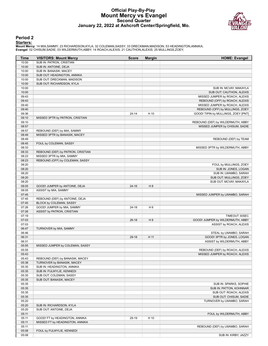#### **Official Play-By-Play Mount Mercy vs Evangel Second Quarter January 22, 2022 at Ashcroft Center/Springfield, Mo.**



#### **Period 2**

**Starters:**

Mount Mercy: 14 MIA,SAMMY; 23 RICHARDSON,KYLA; 32 COLEMAN,SASSY; 33 DRECKMAN,MADISON; 53 HEADINGTON,ANNIKA;<br>Evangel: 02 CHISUM,SADIE; 03 WILDERMUTH,ABBY; 14 ROACH,ALEXIS; 21 CAUTHON,ALEXIS; 25 MULLINGS,ZOEY;

| <b>Time</b>    | <b>VISITORS: Mount Mercy</b>                                   | <b>Score</b> | <b>Margin</b>  | <b>HOME: Evangel</b>                             |
|----------------|----------------------------------------------------------------|--------------|----------------|--------------------------------------------------|
| 10:00          | SUB IN: PATRON, CRISTIAN                                       |              |                |                                                  |
| 10:00          | SUB IN: ANTOINE, DEJA                                          |              |                |                                                  |
| 10:00          | SUB IN: BANASIK, MACEY                                         |              |                |                                                  |
| 10:00          | SUB OUT: HEADINGTON, ANNIKA                                    |              |                |                                                  |
| 10:00          | SUB OUT: DRECKMAN, MADISON                                     |              |                |                                                  |
| 10:00          | SUB OUT: RICHARDSON, KYLA                                      |              |                |                                                  |
| 10:00          |                                                                |              |                | SUB IN: MCVAY, MAKAYLA                           |
| 10:00          |                                                                |              |                | SUB OUT: CAUTHON, ALEXIS                         |
| 09:43          |                                                                |              |                | MISSED JUMPER by ROACH, ALEXIS                   |
| 09:43          |                                                                |              |                | REBOUND (OFF) by ROACH, ALEXIS                   |
| 09:40          |                                                                |              |                | MISSED JUMPER by ROACH, ALEXIS                   |
| 09:40          |                                                                |              |                | REBOUND (OFF) by MULLINGS, ZOEY                  |
| 09:36          |                                                                | $24 - 14$    | H 10           | GOOD! TIPIN by MULLINGS, ZOEY [PNT]              |
| 09:10          | MISSED 3PTR by PATRON, CRISTIAN                                |              |                |                                                  |
| 09:10          |                                                                |              |                | REBOUND (DEF) by WILDERMUTH, ABBY                |
| 08:57          |                                                                |              |                | MISSED JUMPER by CHISUM, SADIE                   |
| 08:57          | REBOUND (DEF) by MIA, SAMMY                                    |              |                |                                                  |
| 08:49          | MISSED 3PTR by BANASIK, MACEY                                  |              |                |                                                  |
| 08:49          |                                                                |              |                | REBOUND (DEF) by TEAM                            |
| 08:45<br>08:33 | FOUL by COLEMAN, SASSY                                         |              |                |                                                  |
| 08:33          |                                                                |              |                | MISSED 3PTR by WILDERMUTH, ABBY                  |
| 08:23          | REBOUND (DEF) by PATRON, CRISTIAN<br>MISSED 3PTR by MIA, SAMMY |              |                |                                                  |
| 08:23          | REBOUND (OFF) by COLEMAN, SASSY                                |              |                |                                                  |
| 08:20          |                                                                |              |                | FOUL by MULLINGS, ZOEY                           |
| 08:20          |                                                                |              |                | SUB IN: JONES, LOGAN                             |
| 08:20          |                                                                |              |                | SUB IN: LWAMBO, SARAH                            |
| 08:20          |                                                                |              |                | SUB OUT: MULLINGS, ZOEY                          |
| 08:20          |                                                                |              |                | SUB OUT: MCVAY, MAKAYLA                          |
| 08:05          | GOOD! JUMPER by ANTOINE, DEJA                                  | $24 - 16$    | H 8            |                                                  |
| 08:05          | ASSIST by MIA, SAMMY                                           |              |                |                                                  |
| 07:45          |                                                                |              |                | MISSED JUMPER by LWAMBO, SARAH                   |
| 07:45          | REBOUND (DEF) by ANTOINE, DEJA                                 |              |                |                                                  |
| 07:45          | BLOCK by COLEMAN, SASSY                                        |              |                |                                                  |
| 07:26          | GOOD! JUMPER by MIA, SAMMY                                     | $24-18$      | H <sub>6</sub> |                                                  |
| 07:26          | ASSIST by PATRON, CRISTIAN                                     |              |                |                                                  |
| 07:19          |                                                                |              |                | <b>TIMEOUT 30SEC</b>                             |
| 07:03          |                                                                | $26-18$      | H 8            | GOOD! JUMPER by WILDERMUTH, ABBY                 |
| 07:03          |                                                                |              |                | ASSIST by ROACH, ALEXIS                          |
| 06:47          | TURNOVER by MIA, SAMMY                                         |              |                |                                                  |
| 06:46          |                                                                |              |                | STEAL by LWAMBO, SARAH                           |
| 06:31          |                                                                | $29-18$      | H 11           | GOOD! 3PTR by JONES, LOGAN                       |
| 06:31          |                                                                |              |                | ASSIST by WILDERMUTH, ABBY                       |
| 05:55          | MISSED JUMPER by COLEMAN, SASSY                                |              |                |                                                  |
| 05:55          |                                                                |              |                | REBOUND (DEF) by ROACH, ALEXIS                   |
| 05:43          |                                                                |              |                | MISSED JUMPER by ROACH, ALEXIS                   |
| 05:43          | REBOUND (DEF) by BANASIK, MACEY                                |              |                |                                                  |
| 05:38          | TURNOVER by BANASIK, MACEY                                     |              |                |                                                  |
| 05:35          | SUB IN: HEADINGTON, ANNIKA                                     |              |                |                                                  |
| 05:35          | SUB IN: FULWYLIE, KENNEDI                                      |              |                |                                                  |
| 05:35          | SUB OUT: COLEMAN, SASSY                                        |              |                |                                                  |
| 05:35          | SUB OUT: BANASIK, MACEY                                        |              |                |                                                  |
| 05:35          |                                                                |              |                | SUB IN: SPARKS, SOPHIE                           |
| 05:35          |                                                                |              |                | SUB IN: PATTON, KOHNNAR                          |
| 05:35<br>05:35 |                                                                |              |                | SUB OUT: ROACH, ALEXIS<br>SUB OUT: CHISUM, SADIE |
|                |                                                                |              |                |                                                  |
| 05:20<br>05:20 | SUB IN: RICHARDSON, KYLA                                       |              |                | TURNOVER by LWAMBO, SARAH                        |
| 05:20          | SUB OUT: ANTOINE, DEJA                                         |              |                |                                                  |
| 05:11          |                                                                |              |                | FOUL by WILDERMUTH, ABBY                         |
| 05:11          | GOOD! FT by HEADINGTON, ANNIKA                                 | 29-19        | H 10           |                                                  |
| 05:11          | MISSED FT by HEADINGTON, ANNIKA                                |              |                |                                                  |
| 05:11          |                                                                |              |                | REBOUND (DEF) by LWAMBO, SARAH                   |
| 05:08          | FOUL by FULWYLIE, KENNEDI                                      |              |                |                                                  |
| 05:08          |                                                                |              |                | SUB IN: KIRBY, JAZZY                             |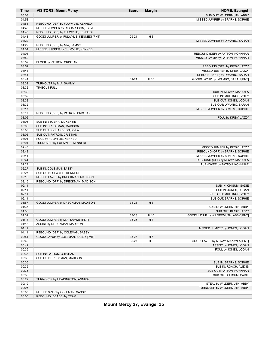| Time           | <b>VISITORS: Mount Mercy</b>                                    | <b>Score</b> | <b>Margin</b>  | <b>HOME: Evangel</b>                                               |
|----------------|-----------------------------------------------------------------|--------------|----------------|--------------------------------------------------------------------|
| 05:08          |                                                                 |              |                | SUB OUT: WILDERMUTH, ABBY                                          |
| 04:58          |                                                                 |              |                | MISSED JUMPER by SPARKS, SOPHIE                                    |
| 04:58          | REBOUND (DEF) by FULWYLIE, KENNEDI                              |              |                |                                                                    |
| 04:48          | MISSED JUMPER by RICHARDSON, KYLA                               |              |                |                                                                    |
| 04:48          | REBOUND (OFF) by FULWYLIE, KENNEDI                              |              |                |                                                                    |
| 04:43          | GOOD! JUMPER by FULWYLIE, KENNEDI [PNT]                         | 29-21        | H 8            |                                                                    |
| 04:22          |                                                                 |              |                | MISSED JUMPER by LWAMBO, SARAH                                     |
| 04:22          | REBOUND (DEF) by MIA, SAMMY                                     |              |                |                                                                    |
| 04:01          | MISSED JUMPER by FULWYLIE, KENNEDI                              |              |                |                                                                    |
| 04:01          |                                                                 |              |                | REBOUND (DEF) by PATTON, KOHNNAR                                   |
| 03:52          |                                                                 |              |                | MISSED LAYUP by PATTON, KOHNNAR                                    |
| 03:52<br>03:52 | BLOCK by PATRON, CRISTIAN                                       |              |                | REBOUND (OFF) by KIRBY, JAZZY                                      |
| 03:44          |                                                                 |              |                | MISSED JUMPER by KIRBY, JAZZY                                      |
| 03:44          |                                                                 |              |                | REBOUND (OFF) by LWAMBO, SARAH                                     |
| 03:41          |                                                                 | $31 - 21$    | H 10           | GOOD! LAYUP by LWAMBO, SARAH [PNT]                                 |
| 03:32          | TURNOVER by MIA, SAMMY                                          |              |                |                                                                    |
| 03:32          | <b>TIMEOUT FULL</b>                                             |              |                |                                                                    |
| 03:32          |                                                                 |              |                | SUB IN: MCVAY, MAKAYLA                                             |
| 03:32          |                                                                 |              |                | SUB IN: MULLINGS, ZOEY                                             |
| 03:32          |                                                                 |              |                | SUB OUT: JONES, LOGAN                                              |
| 03:32          |                                                                 |              |                | SUB OUT: LWAMBO, SARAH                                             |
| 03:17          |                                                                 |              |                | MISSED JUMPER by SPARKS, SOPHIE                                    |
| 03:17          | REBOUND (DEF) by PATRON, CRISTIAN                               |              |                |                                                                    |
| 03:06          |                                                                 |              |                | FOUL by KIRBY, JAZZY                                               |
| 03:06          | SUB IN: STOEHR, MCKENZIE                                        |              |                |                                                                    |
| 03:06          | SUB IN: DRECKMAN, MADISON                                       |              |                |                                                                    |
| 03:06          | SUB OUT: RICHARDSON, KYLA                                       |              |                |                                                                    |
| 03:06          | SUB OUT: PATRON, CRISTIAN                                       |              |                |                                                                    |
| 03:01          | FOUL by FULWYLIE, KENNEDI                                       |              |                |                                                                    |
| 03:01          | TURNOVER by FULWYLIE, KENNEDI                                   |              |                |                                                                    |
| 02:48<br>02:48 |                                                                 |              |                | MISSED JUMPER by KIRBY, JAZZY                                      |
| 02:44          |                                                                 |              |                | REBOUND (OFF) by SPARKS, SOPHIE<br>MISSED JUMPER by SPARKS, SOPHIE |
| 02:44          |                                                                 |              |                | REBOUND (OFF) by MCVAY, MAKAYLA                                    |
| 02:27          |                                                                 |              |                | TURNOVER by PATTON, KOHNNAR                                        |
| 02:27          | SUB IN: COLEMAN, SASSY                                          |              |                |                                                                    |
| 02:27          | SUB OUT: FULWYLIE, KENNEDI                                      |              |                |                                                                    |
| 02:15          | MISSED LAYUP by DRECKMAN, MADISON                               |              |                |                                                                    |
| 02:15          | REBOUND (OFF) by DRECKMAN, MADISON                              |              |                |                                                                    |
| 02:11          |                                                                 |              |                | SUB IN: CHISUM, SADIE                                              |
| 02:11          |                                                                 |              |                | SUB IN: JONES, LOGAN                                               |
| 02:11          |                                                                 |              |                | SUB OUT: MULLINGS, ZOEY                                            |
| 02:11          |                                                                 |              |                | SUB OUT: SPARKS, SOPHIE                                            |
| 01:57          | GOOD! JUMPER by DRECKMAN, MADISON                               | $31 - 23$    | H 8            |                                                                    |
| 01:36          |                                                                 |              |                | SUB IN: WILDERMUTH, ABBY                                           |
| 01:36          |                                                                 |              |                | SUB OUT: KIRBY, JAZZY                                              |
| 01:32          |                                                                 | 33-23        | H 10           | GOOD! LAYUP by WILDERMUTH, ABBY [PNT]                              |
| 01:18<br>01:18 | GOOD! JUMPER by MIA, SAMMY [PNT]<br>ASSIST by DRECKMAN, MADISON | 33-25        | H 8            |                                                                    |
| 01:11          |                                                                 |              |                | MISSED JUMPER by JONES, LOGAN                                      |
| 01:11          | REBOUND (DEF) by COLEMAN, SASSY                                 |              |                |                                                                    |
| 00:51          | GOOD! LAYUP by COLEMAN, SASSY [PNT]                             | 33-27        | H <sub>6</sub> |                                                                    |
| 00:42          |                                                                 | 35-27        | H 8            | GOOD! LAYUP by MCVAY, MAKAYLA [PNT]                                |
| 00:42          |                                                                 |              |                | ASSIST by JONES, LOGAN                                             |
| 00:35          |                                                                 |              |                | FOUL by JONES, LOGAN                                               |
| 00:35          | SUB IN: PATRON, CRISTIAN                                        |              |                |                                                                    |
| 00:35          | SUB OUT: DRECKMAN, MADISON                                      |              |                |                                                                    |
| 00:35          |                                                                 |              |                | SUB IN: SPARKS, SOPHIE                                             |
| 00:35          |                                                                 |              |                | SUB IN: ROACH, ALEXIS                                              |
| 00:35          |                                                                 |              |                | SUB OUT: PATTON, KOHNNAR                                           |
| 00:35          |                                                                 |              |                | SUB OUT: CHISUM, SADIE                                             |
| 00:22          | TURNOVER by HEADINGTON, ANNIKA                                  |              |                |                                                                    |
| 00:19          |                                                                 |              |                | STEAL by WILDERMUTH, ABBY                                          |
| 00:05          |                                                                 |              |                | TURNOVER by WILDERMUTH, ABBY                                       |
| 00:00          | MISSED 3PTR by COLEMAN, SASSY                                   |              |                |                                                                    |
| 00:00          | REBOUND (DEADB) by TEAM                                         |              |                |                                                                    |

**Mount Mercy 27, Evangel 35**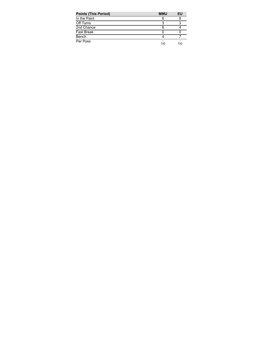| <b>Points (This Period)</b> | <b>MMU</b> | EU  |
|-----------------------------|------------|-----|
| In the Paint                | Е          |     |
| Off Turns                   |            |     |
| 2nd Chance                  |            |     |
| Fast Break                  |            |     |
| Bench                       |            |     |
| Per Poss                    | 7/0        | 7/0 |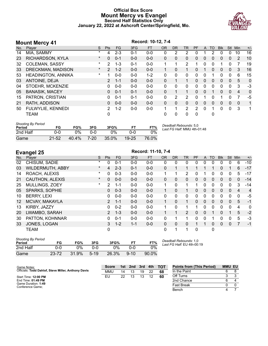#### **Official Box Score Mount Mercy vs Evangel Second Half Statistics Only January 22, 2022 at Ashcroft Center/Springfield, Mo.**



| <b>Mount Mercy 41</b> |                           |          |                |           | Record: 10-12, 7-4 |           |              |              |                |          |              |           |            |            |                |       |
|-----------------------|---------------------------|----------|----------------|-----------|--------------------|-----------|--------------|--------------|----------------|----------|--------------|-----------|------------|------------|----------------|-------|
| No.                   | Plaver                    | S        | Pts            | <b>FG</b> | 3FG                | <b>FT</b> | <b>OR</b>    | <b>DR</b>    | <b>TR</b>      | PF       | A            | <b>TO</b> | <b>Blk</b> | <b>Stl</b> | Min            | $+/-$ |
| 14                    | MIA, SAMMY                | $\ast$   | 4              | $2 - 3$   | $0 - 1$            | $0 - 0$   | 0            | 2            | 2              | 0        |              | 2         | 0          | 0          | 10             | 16    |
| 23                    | RICHARDSON, KYLA          | $\star$  | $\Omega$       | $0 - 1$   | $0 - 0$            | $0 - 0$   | $\Omega$     | $\mathbf{0}$ | 0              | 0        | 0            | 0         | 0          | 0          | $\overline{2}$ | 10    |
| 32                    | COLEMAN, SASSY            | $^\star$ | $\mathcal{P}$  | $1 - 3$   | $0 - 1$            | $0 - 0$   | 1            |              | 2              | 1        | 0            | $\Omega$  | 1          | $\Omega$   | 7              | 19    |
| 33                    | DRECKMAN, MADISON         | $\ast$   | $\overline{2}$ | $1 - 2$   | $0 - 0$            | $0 - 0$   |              | 0            |                | 0        |              | 0         | 0          | 0          | 3              | 16    |
| 53                    | <b>HEADINGTON, ANNIKA</b> | $\ast$   |                | $0 - 0$   | $0 - 0$            | $1 - 2$   | 0            | $\Omega$     | 0              | 0        | 0            |           | 0          | 0          | 6              | 15    |
| 03                    | ANTOINE, DEJA             |          | $\overline{2}$ | $1 - 1$   | $0 - 0$            | $0 - 0$   | $\Omega$     |              | 1              | $\Omega$ | $\Omega$     | $\Omega$  | 0          | $\Omega$   | 5              | 0     |
| 04                    | STOEHR, MCKENZIE          |          | 0              | $0 - 0$   | $0 - 0$            | $0 - 0$   | 0            | $\Omega$     | $\mathbf{0}$   | $\Omega$ | $\Omega$     | $\Omega$  | $\Omega$   | $\Omega$   | 3              | $-3$  |
| 05                    | <b>BANASIK, MACEY</b>     |          | $\Omega$       | $0 - 1$   | $0 - 1$            | $0 - 0$   | $\Omega$     |              | 1              | $\Omega$ | $\Omega$     | 1         | 0          | $\Omega$   | 4              | 0     |
| 15                    | PATRON, CRISTIAN          |          | 0              | $0 - 1$   | $0 - 1$            | $0 - 0$   | $\mathbf{0}$ | 2            | $\overline{2}$ | $\Omega$ |              | $\Omega$  |            | 0          | 7              | $-5$  |
| 21                    | RATH, ADDISON             |          | 0              | $0 - 0$   | $0 - 0$            | $0 - 0$   | $\Omega$     | $\Omega$     | 0              | 0        | $\mathbf{0}$ | $\Omega$  | 0          | $\Omega$   | $\Omega$       | 1     |
| 50                    | FULWYLIE, KENNEDI         |          | 2              | $1 - 2$   | $0 - 0$            | $0 - 0$   | 1            |              | 2              | 2        | $\Omega$     |           | 0          | 0          | 3              | 1     |
|                       | <b>TEAM</b>               |          | 0              |           |                    |           | 0            | 0            | 0              | 0        |              | 0         |            |            |                |       |

| <b>Shooting By Period</b><br>Period | FG        | FG%   | 3FG  | 3FG%  | FT.       | FT%   | Deadball Rebounds: 5,0<br>Last FG Half: MMU 4th-01:48 |
|-------------------------------------|-----------|-------|------|-------|-----------|-------|-------------------------------------------------------|
| 2nd Half                            | 0-0       | ገ%    |      | ገ%    | 0-0       | $0\%$ |                                                       |
| Game                                | $21 - 52$ | 40.4% | 7-20 | 35.0% | $19 - 25$ | 76.0% |                                                       |

|                   | <b>Evangel 25</b>       |          | Record: 11-10, 7-4 |           |         |           |              |              |                |              |          |          |             |              |              |       |
|-------------------|-------------------------|----------|--------------------|-----------|---------|-----------|--------------|--------------|----------------|--------------|----------|----------|-------------|--------------|--------------|-------|
| No.               | Player                  | S        | <b>Pts</b>         | <b>FG</b> | 3FG     | <b>FT</b> | <b>OR</b>    | <b>DR</b>    | TR             | PF           | A        | TO       | <b>B</b> lk | Stl          | <b>Min</b>   | $+/-$ |
| 02                | CHISUM, SADIE           | $^\star$ | 0                  | $0 - 1$   | $0 - 0$ | $0 - 0$   | 0            | 0            | 0              | $\Omega$     | 0        | 0        | 0           | 0            | 6            | $-10$ |
| 03                | <b>WILDERMUTH, ABBY</b> | $^\star$ | 4                  | $2 - 3$   | $0 - 1$ | $0 - 0$   | $\mathbf{0}$ | 1            | 1              | 1            |          | 1        | 0           |              | 6            | $-17$ |
| 14                | ROACH, ALEXIS           | *        | 0                  | $0 - 3$   | $0 - 0$ | $0 - 0$   | 1            | 1.           | 2              | $\Omega$     |          | 0        | 0           | $\Omega$     | 5            | $-17$ |
| 21                | <b>CAUTHON, ALEXIS</b>  | $^\star$ | $\mathbf{0}$       | $0 - 0$   | $0 - 0$ | $0 - 0$   | $\mathbf{0}$ | $\mathbf{0}$ | $\Omega$       | $\mathbf{0}$ | 0        | 0        | 0           | $\mathbf{0}$ | $\mathbf{0}$ | $-14$ |
| 25                | MULLINGS, ZOEY          | *        | $\overline{2}$     | $1 - 1$   | $0 - 0$ | $0-0$     | 1            | $\Omega$     | 1              | 1            | 0        | 0        | 0           | $\mathbf{0}$ | 3            | $-14$ |
| 05                | <b>SPARKS, SOPHIE</b>   |          | 0                  | $0 - 3$   | $0 - 0$ | $0 - 0$   | $\mathbf{1}$ | $\mathbf{0}$ | 1              | $\mathbf{0}$ | 0        | 0        | 0           | $\mathbf{0}$ | 4            | 4     |
| 10                | <b>BERRY, LEXI</b>      |          | 0                  | $0 - 0$   | $0 - 0$ | $0 - 0$   | $\mathbf{0}$ | $\mathbf{0}$ | 0              | 0            | $\Omega$ | 0        | 0           | $\Omega$     | $\mathbf{0}$ | $-5$  |
| $12 \overline{ }$ | MCVAY, MAKAYLA          |          | 2                  | $1 - 1$   | $0 - 0$ | $0 - 0$   | 1            | $\Omega$     | $\mathbf{1}$   | $\Omega$     | $\Omega$ | 0        | $\Omega$    | $\Omega$     | 5            | $-1$  |
| 13                | KIRBY, JAZZY            |          | $\Omega$           | $0 - 2$   | $0 - 0$ | $0 - 0$   | 1.           | $\Omega$     | 1              | 1            | 0        | 0        | 0           | $\Omega$     | 4            | 0     |
| 20                | LWAMBO, SARAH           |          | 2                  | $1 - 3$   | $0 - 0$ | $0 - 0$   | 1            | $\mathbf 1$  | $\overline{2}$ | $\Omega$     | $\Omega$ |          | $\Omega$    |              | 5            | $-2$  |
| 30                | PATTON, KOHNNAR         |          | 0                  | $0 - 1$   | $0 - 0$ | $0 - 0$   | 0            | 1            | 1              | 0            | $\Omega$ |          | 0           | $\Omega$     | 5            | $-3$  |
| 33                | JONES, LOGAN            |          | 3                  | $1 - 2$   | $1 - 1$ | $0 - 0$   | $\Omega$     | $\Omega$     | 0              | 1            |          | $\Omega$ | 0           | $\mathbf{0}$ | 7            | $-1$  |
|                   | <b>TEAM</b>             |          | 0                  |           |         |           | 0            | 1            | 1              | 0            |          | 0        |             |              |              |       |

| <b>Shooting By Period</b><br>Period | FG        | FG%   | 3FG      | 3FG%  |          | FT%   | Deadball Rebounds: 1,0<br>Last FG Half: EU 4th-00:19 |
|-------------------------------------|-----------|-------|----------|-------|----------|-------|------------------------------------------------------|
| 2nd Half                            | ი-ი       | ጋ%    | ი-ი      | ገ%    | ი-ი      | $0\%$ |                                                      |
| Game                                | $23 - 72$ | 31.9% | $5 - 19$ | 26.3% | $9 - 10$ | 90.0% |                                                      |

| Game Notes:                                         | <b>Score</b> |    | 1st 2nd | 3rd | 4th | – тот | <b>Points from (This Period)</b> | <b>MMU EU</b> |  |
|-----------------------------------------------------|--------------|----|---------|-----|-----|-------|----------------------------------|---------------|--|
| Officials: Todd Dahlof, Steve Miller, Anthony Davis | <b>MMU</b>   | 14 |         | 19  | 22  | 68    | In the Paint                     |               |  |
| Start Time: 12:00 PM                                | EU           | 22 |         | 13  | 12  | 60    | Off Turns                        |               |  |
| End Time: 01:49 PM                                  |              |    |         |     |     |       | 2nd Chance                       |               |  |
| Game Duration: 1:49<br>Conference Game;             |              |    |         |     |     |       | Fast Break                       |               |  |
|                                                     |              |    |         |     |     |       |                                  |               |  |

Bench 4 7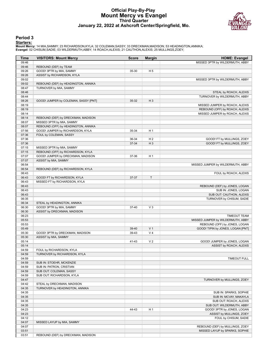#### **Official Play-By-Play Mount Mercy vs Evangel Third Quarter January 22, 2022 at Ashcroft Center/Springfield, Mo.**



#### **Period 3**

**Starters:**<br>Mount Mercy: 14 MIA,SAMMY; 23 RICHARDSON,KYLA; 32 COLEMAN,SASSY; 33 DRECKMAN,MADISON; 53 HEADINGTON,ANNIKA;<br>Evangel: 02 CHISUM,SADIE; 03 WILDERMUTH,ABBY; 14 ROACH,ALEXIS; 21 CAUTHON,ALEXIS; 25 MULLINGS,ZOEY;

| <b>Time</b>    | <b>VISITORS: Mount Mercy</b>                               | <b>Score</b> | <b>Margin</b>  | <b>HOME: Evangel</b>              |
|----------------|------------------------------------------------------------|--------------|----------------|-----------------------------------|
| 09:46          |                                                            |              |                | MISSED 3PTR by WILDERMUTH, ABBY   |
| 09:46          | REBOUND (DEF) by TEAM                                      |              |                |                                   |
| 09:26          | GOOD! 3PTR by MIA, SAMMY                                   | 35-30        | H <sub>5</sub> |                                   |
| 09:26          | ASSIST by RICHARDSON, KYLA                                 |              |                |                                   |
| 09:02          |                                                            |              |                | MISSED 3PTR by WILDERMUTH, ABBY   |
| 09:02          | REBOUND (DEF) by HEADINGTON, ANNIKA                        |              |                |                                   |
| 08:47          | TURNOVER by MIA, SAMMY                                     |              |                |                                   |
| 08:46          |                                                            |              |                | STEAL by ROACH, ALEXIS            |
| 08:44          |                                                            |              |                | TURNOVER by WILDERMUTH, ABBY      |
| 08:26          | GOOD! JUMPER by COLEMAN, SASSY [PNT]                       | 35-32        | $H_3$          |                                   |
| 08:19          |                                                            |              |                | MISSED JUMPER by ROACH, ALEXIS    |
| 08:19          |                                                            |              |                | REBOUND (OFF) by ROACH, ALEXIS    |
| 08:14          |                                                            |              |                | MISSED JUMPER by ROACH, ALEXIS    |
| 08:14          | REBOUND (DEF) by DRECKMAN, MADISON                         |              |                |                                   |
| 08:07          | MISSED 3PTR by MIA, SAMMY                                  |              |                |                                   |
| 08:07          | REBOUND (OFF) by HEADINGTON, ANNIKA                        |              |                |                                   |
| 07:56<br>07:36 | GOOD! JUMPER by RICHARDSON, KYLA<br>FOUL by COLEMAN, SASSY | 35-34        | H <sub>1</sub> |                                   |
| 07:36          |                                                            | 36-34        | H <sub>2</sub> | GOOD! FT by MULLINGS, ZOEY        |
| 07:36          |                                                            | 37-34        | $H_3$          | GOOD! FT by MULLINGS, ZOEY        |
| 07:15          | MISSED 3PTR by MIA, SAMMY                                  |              |                |                                   |
| 07:15          | REBOUND (OFF) by RICHARDSON, KYLA                          |              |                |                                   |
| 07:07          | GOOD! JUMPER by DRECKMAN, MADISON                          | 37-36        | H <sub>1</sub> |                                   |
| 07:07          | ASSIST by MIA, SAMMY                                       |              |                |                                   |
| 06:54          |                                                            |              |                | MISSED JUMPER by WILDERMUTH, ABBY |
| 06:54          | REBOUND (DEF) by RICHARDSON, KYLA                          |              |                |                                   |
| 06:43          |                                                            |              |                | FOUL by ROACH, ALEXIS             |
| 06:43          | GOOD! FT by RICHARDSON, KYLA                               | 37-37        | $\mathsf{T}$   |                                   |
| 06:43          | MISSED FT by RICHARDSON, KYLA                              |              |                |                                   |
| 06:43          |                                                            |              |                | REBOUND (DEF) by JONES, LOGAN     |
| 06:43          |                                                            |              |                | SUB IN: JONES, LOGAN              |
| 06:43          |                                                            |              |                | SUB OUT: CAUTHON, ALEXIS          |
| 06:35          |                                                            |              |                | TURNOVER by CHISUM, SADIE         |
| 06:34          | STEAL by HEADINGTON, ANNIKA                                |              |                |                                   |
| 06:30          | GOOD! 3PTR by MIA, SAMMY                                   | 37-40        | $V_3$          |                                   |
| 06:30          | ASSIST by DRECKMAN, MADISON                                |              |                |                                   |
| 06:23          |                                                            |              |                | <b>TIMEOUT TEAM</b>               |
| 05:53          |                                                            |              |                | MISSED JUMPER by WILDERMUTH, ABBY |
| 05:53          |                                                            |              |                | REBOUND (OFF) by JONES, LOGAN     |
| 05:49          |                                                            | 39-40        | V <sub>1</sub> | GOOD! TIPIN by JONES, LOGAN [PNT] |
| 05:30          | GOOD! 3PTR by DRECKMAN, MADISON                            | 39-43        | V <sub>4</sub> |                                   |
| 05:30          | ASSIST by MIA, SAMMY                                       |              |                |                                   |
| 05:14          |                                                            | 41-43        | V <sub>2</sub> | GOOD! JUMPER by JONES, LOGAN      |
| 05:14<br>04:59 |                                                            |              |                | ASSIST by ROACH, ALEXIS           |
| 04:59          | FOUL by RICHARDSON, KYLA<br>TURNOVER by RICHARDSON, KYLA   |              |                |                                   |
| 04:59          |                                                            |              |                | TIMEOUT FULL                      |
| 04:59          | SUB IN: STOEHR, MCKENZIE                                   |              |                |                                   |
| 04:59          | SUB IN: PATRON, CRISTIAN                                   |              |                |                                   |
| 04:59          | SUB OUT: COLEMAN, SASSY                                    |              |                |                                   |
| 04:59          | SUB OUT: RICHARDSON, KYLA                                  |              |                |                                   |
| 04:47          |                                                            |              |                | TURNOVER by MULLINGS, ZOEY        |
| 04:42          | STEAL by DRECKMAN, MADISON                                 |              |                |                                   |
| 04:35          | TURNOVER by HEADINGTON, ANNIKA                             |              |                |                                   |
| 04:35          |                                                            |              |                | SUB IN: SPARKS, SOPHIE            |
| 04:35          |                                                            |              |                | SUB IN: MCVAY, MAKAYLA            |
| 04:35          |                                                            |              |                | SUB OUT: ROACH, ALEXIS            |
| 04:35          |                                                            |              |                | SUB OUT: WILDERMUTH, ABBY         |
| 04:23          |                                                            | 44-43        | H <sub>1</sub> | GOOD! 3PTR by JONES, LOGAN        |
| 04:23          |                                                            |              |                | ASSIST by MULLINGS, ZOEY          |
| 04:12          |                                                            |              |                | FOUL by CHISUM, SADIE             |
| 04:07          | MISSED LAYUP by MIA, SAMMY                                 |              |                |                                   |
| 04:07          |                                                            |              |                | REBOUND (DEF) by MULLINGS, ZOEY   |
| 03:51          |                                                            |              |                | MISSED LAYUP by SPARKS, SOPHIE    |
| 03:51          | REBOUND (DEF) by DRECKMAN, MADISON                         |              |                |                                   |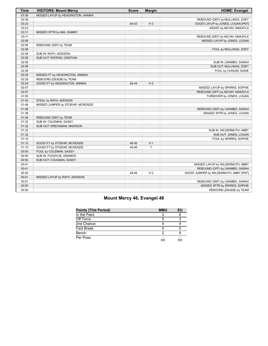| <b>Time</b> | <b>VISITORS: Mount Mercy</b>       | <b>Score</b> | <b>Margin</b>  | <b>HOME: Evangel</b>                   |
|-------------|------------------------------------|--------------|----------------|----------------------------------------|
| 03:39       | MISSED LAYUP by HEADINGTON, ANNIKA |              |                |                                        |
| 03:39       |                                    |              |                | REBOUND (DEF) by MULLINGS, ZOEY        |
| 03:23       |                                    | 46-43        | $H_3$          | GOOD! LAYUP by JONES, LOGAN [PNT]      |
| 03:23       |                                    |              |                | ASSIST by MCVAY, MAKAYLA               |
| 03:11       | MISSED 3PTR by MIA, SAMMY          |              |                |                                        |
| 03:11       |                                    |              |                | REBOUND (DEF) by MCVAY, MAKAYLA        |
| 02:58       |                                    |              |                | MISSED LAYUP by JONES, LOGAN           |
| 02:58       | REBOUND (DEF) by TEAM              |              |                |                                        |
| 02:58       |                                    |              |                | FOUL by MULLINGS, ZOEY                 |
| 02:58       | SUB IN: RATH, ADDISON              |              |                |                                        |
| 02:58       | SUB OUT: PATRON, CRISTIAN          |              |                |                                        |
| 02:58       |                                    |              |                | SUB IN: LWAMBO, SARAH                  |
| 02:58       |                                    |              |                | SUB OUT: MULLINGS, ZOEY                |
| 02:29       |                                    |              |                | FOUL by CHISUM, SADIE                  |
| 02:29       | MISSED FT by HEADINGTON, ANNIKA    |              |                |                                        |
| 02:29       | REBOUND (DEADB) by TEAM            |              |                |                                        |
| 02:29       | GOOD! FT by HEADINGTON, ANNIKA     | 46-44        | H <sub>2</sub> |                                        |
| 02:07       |                                    |              |                | MISSED LAYUP by SPARKS, SOPHIE         |
| 02:07       |                                    |              |                | REBOUND (OFF) by MCVAY, MAKAYLA        |
| 01:55       |                                    |              |                | TURNOVER by JONES, LOGAN               |
| 01:54       | STEAL by RATH, ADDISON             |              |                |                                        |
| 01:48       | MISSED JUMPER by STOEHR, MCKENZIE  |              |                |                                        |
| 01:48       |                                    |              |                | REBOUND (DEF) by LWAMBO, SARAH         |
| 01:38       |                                    |              |                | MISSED 3PTR by JONES, LOGAN            |
| 01:38       | REBOUND (DEF) by TEAM              |              |                |                                        |
| 01:32       | SUB IN: COLEMAN, SASSY             |              |                |                                        |
| 01:32       | SUB OUT: DRECKMAN, MADISON         |              |                |                                        |
| 01:32       |                                    |              |                | SUB IN: WILDERMUTH, ABBY               |
| 01:32       |                                    |              |                | SUB OUT: JONES, LOGAN                  |
| 01:10       |                                    |              |                | FOUL by SPARKS, SOPHIE                 |
| 01:10       | GOOD! FT by STOEHR, MCKENZIE       | 46-45        | H <sub>1</sub> |                                        |
| 01:10       | GOOD! FT by STOEHR, MCKENZIE       | 46-46        | T              |                                        |
| 00:50       | FOUL by COLEMAN, SASSY             |              |                |                                        |
| 00:50       | SUB IN: FULWYLIE, KENNEDI          |              |                |                                        |
| 00:50       | SUB OUT: COLEMAN, SASSY            |              |                |                                        |
| 00:41       |                                    |              |                | MISSED LAYUP by WILDERMUTH, ABBY       |
| 00:41       |                                    |              |                | REBOUND (OFF) by LWAMBO, SARAH         |
| 00:34       |                                    | 48-46        | H <sub>2</sub> | GOOD! JUMPER by WILDERMUTH, ABBY [PNT] |
| 00:01       | MISSED LAYUP by RATH, ADDISON      |              |                |                                        |
| 00:01       |                                    |              |                | REBOUND (DEF) by LWAMBO, SARAH         |
| 00:00       |                                    |              |                | MISSED 3PTR by SPARKS, SOPHIE          |
| 00:00       |                                    |              |                | REBOUND (DEADB) by TEAM                |

## **Mount Mercy 46, Evangel 48**

| <b>Points (This Period)</b> | <b>MMU</b> | EU  |
|-----------------------------|------------|-----|
| In the Paint                |            |     |
| Off Turns                   | 5          |     |
| 2nd Chance                  |            |     |
| <b>Fast Break</b>           |            |     |
| Bench                       |            |     |
| Per Poss                    | 8/0        | 8/0 |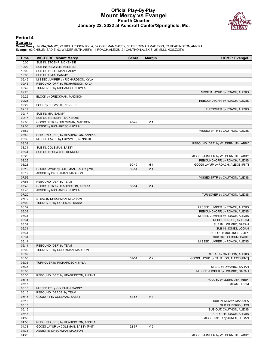#### **Official Play-By-Play Mount Mercy vs Evangel Fourth Quarter January 22, 2022 at Ashcroft Center/Springfield, Mo.**



#### **Period 4**

#### **Starters:**

Mount Mercy: 14 MIA,SAMMY; 23 RICHARDSON,KYLA; 32 COLEMAN,SASSY; 33 DRECKMAN,MADISON; 53 HEADINGTON,ANNIKA;<br>Evangel: 02 CHISUM,SADIE; 03 WILDERMUTH,ABBY; 14 ROACH,ALEXIS; 21 CAUTHON,ALEXIS; 25 MULLINGS,ZOEY;

| Time           | <b>VISITORS: Mount Mercy</b>        | <b>Score</b> | <b>Margin</b>  | <b>HOME: Evangel</b>                            |
|----------------|-------------------------------------|--------------|----------------|-------------------------------------------------|
| 10:00          | SUB IN: STOEHR, MCKENZIE            |              |                |                                                 |
| 10:00          | SUB IN: FULWYLIE, KENNEDI           |              |                |                                                 |
| 10:00          | SUB OUT: COLEMAN, SASSY             |              |                |                                                 |
| 10:00          | SUB OUT: MIA, SAMMY                 |              |                |                                                 |
| 09:45          | MISSED JUMPER by RICHARDSON, KYLA   |              |                |                                                 |
| 09:45          | REBOUND (OFF) by RICHARDSON, KYLA   |              |                |                                                 |
| 09:42          | TURNOVER by RICHARDSON, KYLA        |              |                |                                                 |
| 09:25          |                                     |              |                | MISSED LAYUP by ROACH, ALEXIS                   |
| 09:25          | BLOCK by DRECKMAN, MADISON          |              |                |                                                 |
| 09:25<br>09:22 |                                     |              |                | REBOUND (OFF) by ROACH, ALEXIS                  |
| 09:17          | FOUL by FULWYLIE, KENNEDI           |              |                | TURNOVER by ROACH, ALEXIS                       |
| 09:17          | SUB IN: MIA, SAMMY                  |              |                |                                                 |
| 09:17          | SUB OUT: STOEHR, MCKENZIE           |              |                |                                                 |
| 09:06          | GOOD! 3PTR by DRECKMAN, MADISON     | 48-49        | V <sub>1</sub> |                                                 |
| 09:06          | ASSIST by RICHARDSON, KYLA          |              |                |                                                 |
| 08:52          |                                     |              |                | MISSED 3PTR by CAUTHON, ALEXIS                  |
| 08:52          | REBOUND (DEF) by HEADINGTON, ANNIKA |              |                |                                                 |
| 08:39          | MISSED LAYUP by FULWYLIE, KENNEDI   |              |                |                                                 |
| 08:39          |                                     |              |                | REBOUND (DEF) by WILDERMUTH, ABBY               |
| 08:34          | SUB IN: COLEMAN, SASSY              |              |                |                                                 |
| 08:34          | SUB OUT: FULWYLIE, KENNEDI          |              |                |                                                 |
| 08:26          |                                     |              |                | MISSED JUMPER by WILDERMUTH, ABBY               |
| 08:26          |                                     |              |                | REBOUND (OFF) by ROACH, ALEXIS                  |
| 08:23          |                                     | 50-49        | H <sub>1</sub> | GOOD! LAYUP by ROACH, ALEXIS [PNT]              |
| 08:12<br>08:12 | GOOD! LAYUP by COLEMAN, SASSY [PNT] | 50-51        | V <sub>1</sub> |                                                 |
| 07:56          | ASSIST by DRECKMAN, MADISON         |              |                | MISSED 3PTR by CAUTHON, ALEXIS                  |
| 07:56          | REBOUND (DEF) by TEAM               |              |                |                                                 |
| 07:45          | GOOD! 3PTR by HEADINGTON, ANNIKA    | 50-54        | V <sub>4</sub> |                                                 |
| 07:45          | ASSIST by RICHARDSON, KYLA          |              |                |                                                 |
| 07:20          |                                     |              |                | TURNOVER by CAUTHON, ALEXIS                     |
| 07:19          | STEAL by DRECKMAN, MADISON          |              |                |                                                 |
| 07:00          | TURNOVER by COLEMAN, SASSY          |              |                |                                                 |
| 06:39          |                                     |              |                | MISSED JUMPER by ROACH, ALEXIS                  |
| 06:39          |                                     |              |                | REBOUND (OFF) by ROACH, ALEXIS                  |
| 06:34          |                                     |              |                | MISSED JUMPER by ROACH, ALEXIS                  |
| 06:34          |                                     |              |                | REBOUND (OFF) by TEAM                           |
| 06:31          |                                     |              |                | SUB IN: LWAMBO, SARAH                           |
| 06:31          |                                     |              |                | SUB IN: JONES, LOGAN                            |
| 06:31          |                                     |              |                | SUB OUT: MULLINGS, ZOEY                         |
| 06:31<br>06:14 |                                     |              |                | SUB OUT: CHISUM, SADIE                          |
| 06:14          | REBOUND (DEF) by TEAM               |              |                | MISSED JUMPER by ROACH, ALEXIS                  |
| 06:02          | TURNOVER by DRECKMAN, MADISON       |              |                |                                                 |
| 06:02          |                                     |              |                | STEAL by CAUTHON, ALEXIS                        |
| 06:00          |                                     | 52-54        | V <sub>2</sub> | GOOD! LAYUP by CAUTHON, ALEXIS [PNT]            |
| 05:36          | TURNOVER by RICHARDSON, KYLA        |              |                |                                                 |
| 05:35          |                                     |              |                | STEAL by LWAMBO, SARAH                          |
| 05:30          |                                     |              |                | MISSED JUMPER by LWAMBO, SARAH                  |
| 05:30          | REBOUND (DEF) by HEADINGTON, ANNIKA |              |                |                                                 |
| 05:15          |                                     |              |                | FOUL by WILDERMUTH, ABBY                        |
| 05:15          |                                     |              |                | <b>TIMEOUT TEAM</b>                             |
| 05:15          | MISSED FT by COLEMAN, SASSY         |              |                |                                                 |
| 05:15          | REBOUND (DEADB) by TEAM             |              |                |                                                 |
| 05:15          | GOOD! FT by COLEMAN, SASSY          | 52-55        | $V_3$          |                                                 |
| 05:15          |                                     |              |                | SUB IN: MCVAY, MAKAYLA                          |
| 05:15<br>05:15 |                                     |              |                | SUB IN: BERRY, LEXI<br>SUB OUT: CAUTHON, ALEXIS |
| 05:15          |                                     |              |                | SUB OUT: ROACH, ALEXIS                          |
| 04:58          |                                     |              |                | MISSED 3PTR by JONES, LOGAN                     |
| 04:58          | REBOUND (DEF) by HEADINGTON, ANNIKA |              |                |                                                 |
| 04:38          | GOOD! LAYUP by COLEMAN, SASSY [PNT] | 52-57        | V <sub>5</sub> |                                                 |
| 04:38          | ASSIST by DRECKMAN, MADISON         |              |                |                                                 |
| 04:25          |                                     |              |                | MISSED JUMPER by WILDERMUTH, ABBY               |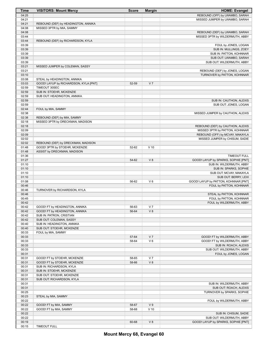| Time  | <b>VISITORS: Mount Mercy</b>          | <b>Score</b> | <b>Margin</b>  | <b>HOME: Evangel</b>                 |
|-------|---------------------------------------|--------------|----------------|--------------------------------------|
| 04:25 |                                       |              |                | REBOUND (OFF) by LWAMBO, SARAH       |
| 04:21 |                                       |              |                | MISSED JUMPER by LWAMBO, SARAH       |
| 04:21 | REBOUND (DEF) by HEADINGTON, ANNIKA   |              |                |                                      |
| 04:08 | MISSED 3PTR by MIA, SAMMY             |              |                |                                      |
| 04:08 |                                       |              |                | REBOUND (DEF) by LWAMBO, SARAH       |
| 03:44 |                                       |              |                | MISSED 3PTR by WILDERMUTH, ABBY      |
| 03:44 | REBOUND (DEF) by RICHARDSON, KYLA     |              |                |                                      |
| 03:39 |                                       |              |                | FOUL by JONES, LOGAN                 |
| 03:39 |                                       |              |                | SUB IN: MULLINGS, ZOEY               |
| 03:39 |                                       |              |                | SUB IN: PATTON, KOHNNAR              |
| 03:39 |                                       |              |                | SUB OUT: LWAMBO, SARAH               |
| 03:39 |                                       |              |                | SUB OUT: WILDERMUTH, ABBY            |
| 03:21 | MISSED JUMPER by COLEMAN, SASSY       |              |                |                                      |
| 03:21 |                                       |              |                | REBOUND (DEF) by JONES, LOGAN        |
| 03:10 |                                       |              |                | TURNOVER by PATTON, KOHNNAR          |
| 03:08 | STEAL by HEADINGTON, ANNIKA           |              |                |                                      |
| 03:03 | GOOD! LAYUP by RICHARDSON, KYLA [PNT] | 52-59        | V <sub>7</sub> |                                      |
| 02:59 | TIMEOUT 30SEC                         |              |                |                                      |
| 02:59 | SUB IN: STOEHR, MCKENZIE              |              |                |                                      |
| 02:59 | SUB OUT: HEADINGTON, ANNIKA           |              |                |                                      |
| 02:59 |                                       |              |                | SUB IN: CAUTHON, ALEXIS              |
| 02:59 |                                       |              |                | SUB OUT: JONES, LOGAN                |
| 02:44 | FOUL by MIA, SAMMY                    |              |                |                                      |
| 02:38 |                                       |              |                | MISSED JUMPER by CAUTHON, ALEXIS     |
| 02:38 | REBOUND (DEF) by MIA, SAMMY           |              |                |                                      |
| 02:18 | MISSED 3PTR by DRECKMAN, MADISON      |              |                |                                      |
| 02:18 |                                       |              |                | REBOUND (DEF) by CAUTHON, ALEXIS     |
| 02:09 |                                       |              |                | MISSED 3PTR by PATTON, KOHNNAR       |
| 02:09 |                                       |              |                | REBOUND (OFF) by MCVAY, MAKAYLA      |
| 02:02 |                                       |              |                | MISSED JUMPER by CHISUM, SADIE       |
| 02:02 | REBOUND (DEF) by DRECKMAN, MADISON    |              |                |                                      |
| 01:48 | GOOD! 3PTR by STOEHR, MCKENZIE        | 52-62        | $V$ 10         |                                      |
| 01:48 | ASSIST by DRECKMAN, MADISON           |              |                |                                      |
| 01:36 |                                       |              |                | <b>TIMEOUT FULL</b>                  |
| 01:27 |                                       | 54-62        | V8             | GOOD! LAYUP by SPARKS, SOPHIE [PNT]  |
| 01:10 |                                       |              |                | SUB IN: WILDERMUTH, ABBY             |
| 01:10 |                                       |              |                | SUB IN: SPARKS, SOPHIE               |
| 01:10 |                                       |              |                | SUB OUT: MCVAY, MAKAYLA              |
| 01:10 |                                       |              |                | SUB OUT: BERRY, LEXI                 |
| 01:08 |                                       | 56-62        | $V_6$          | GOOD! LAYUP by PATTON, KOHNNAR [PNT] |
| 00:46 |                                       |              |                | FOUL by PATTON, KOHNNAR              |
| 00:46 | TURNOVER by RICHARDSON, KYLA          |              |                |                                      |
| 00:46 |                                       |              |                | STEAL by PATTON, KOHNNAR             |
| 00:45 |                                       |              |                | FOUL by PATTON, KOHNNAR              |
| 00:42 |                                       |              |                | FOUL by WILDERMUTH, ABBY             |
| 00:42 | GOOD! FT by HEADINGTON, ANNIKA        | 56-63        | V <sub>7</sub> |                                      |
| 00:42 | GOOD! FT by HEADINGTON, ANNIKA        | 56-64        | V8             |                                      |
| 00:42 | SUB IN: PATRON, CRISTIAN              |              |                |                                      |
| 00:42 | SUB OUT: COLEMAN, SASSY               |              |                |                                      |
| 00:40 | SUB IN: HEADINGTON, ANNIKA            |              |                |                                      |
| 00:40 | SUB OUT: STOEHR, MCKENZIE             |              |                |                                      |
| 00:33 | FOUL by MIA, SAMMY                    |              |                |                                      |
| 00:33 |                                       | 57-64        | V <sub>7</sub> | GOOD! FT by WILDERMUTH, ABBY         |
| 00:33 |                                       | 58-64        | $V_6$          | GOOD! FT by WILDERMUTH, ABBY         |
| 00:33 |                                       |              |                | SUB IN: ROACH, ALEXIS                |
| 00:33 |                                       |              |                | SUB OUT: WILDERMUTH, ABBY            |
| 00:31 |                                       |              |                | FOUL by JONES, LOGAN                 |
| 00:31 | GOOD! FT by STOEHR, MCKENZIE          | 58-65        | V <sub>7</sub> |                                      |
| 00:31 | GOOD! FT by STOEHR, MCKENZIE          | 58-66        | V8             |                                      |
| 00:31 | SUB IN: RICHARDSON, KYLA              |              |                |                                      |
| 00:31 | SUB IN: STOEHR, MCKENZIE              |              |                |                                      |
| 00:31 | SUB OUT: STOEHR, MCKENZIE             |              |                |                                      |
| 00:31 | SUB OUT: RICHARDSON, KYLA             |              |                |                                      |
| 00:31 |                                       |              |                | SUB IN: WILDERMUTH, ABBY             |
| 00:31 |                                       |              |                | SUB OUT: ROACH, ALEXIS               |
| 00:25 |                                       |              |                | TURNOVER by SPARKS, SOPHIE           |
| 00:23 | STEAL by MIA, SAMMY                   |              |                |                                      |
| 00:22 |                                       |              |                | FOUL by WILDERMUTH, ABBY             |
| 00:22 | GOOD! FT by MIA, SAMMY                | 58-67        | V <sub>9</sub> |                                      |
| 00:22 | GOOD! FT by MIA, SAMMY                | 58-68        | $V$ 10         |                                      |
| 00:22 |                                       |              |                | SUB IN: CHISUM, SADIE                |
| 00:22 |                                       |              |                | SUB OUT: WILDERMUTH, ABBY            |
| 00:19 |                                       | 60-68        | V8             | GOOD! LAYUP by SPARKS, SOPHIE [PNT]  |
| 00:15 | <b>TIMEOUT FULL</b>                   |              |                |                                      |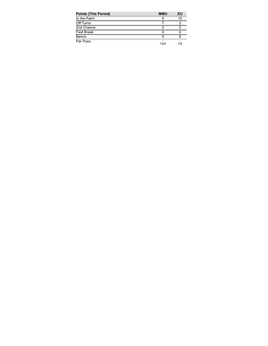| <b>Points (This Period)</b> | <b>MMU</b> | ΕU  |
|-----------------------------|------------|-----|
| In the Paint                | 6          | 10  |
| Off Turns                   |            |     |
| 2nd Chance                  |            |     |
| Fast Break                  |            |     |
| Bench                       |            |     |
| Per Poss                    | 14/0       | 7/0 |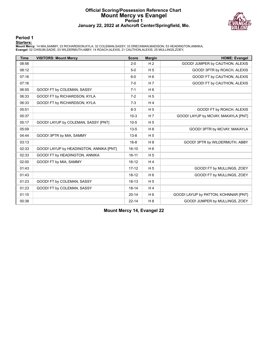#### **Official Scoring/Possession Reference Chart Mount Mercy vs Evangel Period 1 January 22, 2022 at Ashcroft Center/Springfield, Mo.**



#### **Period 1**

#### **Starters:**

Mount Mercy: 14 MIA,SAMMY; 23 RICHARDSON,KYLA; 32 COLEMAN,SASSY; 33 DRECKMAN,MADISON; 53 HEADINGTON,ANNIKA;<br>Evangel: 02 CHISUM,SADIE; 03 WILDERMUTH,ABBY; 14 ROACH,ALEXIS; 21 CAUTHON,ALEXIS; 25 MULLINGS,ZOEY;

| <b>Time</b> | <b>VISITORS: Mount Mercy</b>            | <b>Score</b> | <b>Margin</b>  | <b>HOME: Evangel</b>                 |
|-------------|-----------------------------------------|--------------|----------------|--------------------------------------|
| 08:56       |                                         | $2 - 0$      | H <sub>2</sub> | GOOD! JUMPER by CAUTHON, ALEXIS      |
| 08:12       |                                         | $5-0$        | H <sub>5</sub> | GOOD! 3PTR by ROACH, ALEXIS          |
| 07:16       |                                         | $6-0$        | H <sub>6</sub> | GOOD! FT by CAUTHON, ALEXIS          |
| 07:16       |                                         | $7-0$        | H <sub>7</sub> | GOOD! FT by CAUTHON, ALEXIS          |
| 06:55       | GOOD! FT by COLEMAN, SASSY              | $7 - 1$      | H <sub>6</sub> |                                      |
| 06:33       | GOOD! FT by RICHARDSON, KYLA            | $7-2$        | H <sub>5</sub> |                                      |
| 06:33       | GOOD! FT by RICHARDSON, KYLA            | $7-3$        | H <sub>4</sub> |                                      |
| 05:51       |                                         | $8 - 3$      | H <sub>5</sub> | GOOD! FT by ROACH, ALEXIS            |
| 05:37       |                                         | $10-3$       | H <sub>7</sub> | GOOD! LAYUP by MCVAY, MAKAYLA [PNT]  |
| 05:17       | GOOD! LAYUP by COLEMAN, SASSY [PNT]     | $10-5$       | H <sub>5</sub> |                                      |
| 05:09       |                                         | $13 - 5$     | H <sub>8</sub> | GOOD! 3PTR by MCVAY, MAKAYLA         |
| 04:44       | GOOD! 3PTR by MIA, SAMMY                | $13 - 8$     | H <sub>5</sub> |                                      |
| 03:13       |                                         | $16 - 8$     | H <sub>8</sub> | GOOD! 3PTR by WILDERMUTH, ABBY       |
| 02:33       | GOOD! LAYUP by HEADINGTON, ANNIKA [PNT] | $16 - 10$    | H <sub>6</sub> |                                      |
| 02:33       | GOOD! FT by HEADINGTON, ANNIKA          | $16 - 11$    | H <sub>5</sub> |                                      |
| 02:00       | GOOD! FT by MIA, SAMMY                  | $16 - 12$    | H <sub>4</sub> |                                      |
| 01:43       |                                         | $17 - 12$    | H <sub>5</sub> | GOOD! FT by MULLINGS, ZOEY           |
| 01:43       |                                         | $18 - 12$    | $H_6$          | GOOD! FT by MULLINGS, ZOEY           |
| 01:23       | GOOD! FT by COLEMAN, SASSY              | $18 - 13$    | H <sub>5</sub> |                                      |
| 01:23       | GOOD! FT by COLEMAN, SASSY              | $18 - 14$    | H <sub>4</sub> |                                      |
| 01:10       |                                         | $20 - 14$    | H <sub>6</sub> | GOOD! LAYUP by PATTON, KOHNNAR [PNT] |
| 00:38       |                                         | $22 - 14$    | H8             | GOOD! JUMPER by MULLINGS, ZOEY       |

**Mount Mercy 14, Evangel 22**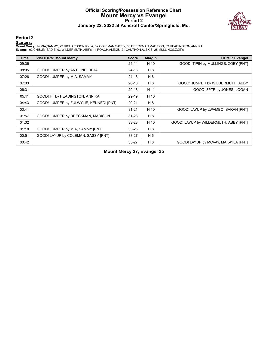#### **Official Scoring/Possession Reference Chart Mount Mercy vs Evangel Period 2 January 22, 2022 at Ashcroft Center/Springfield, Mo.**



#### **Period 2**

#### **Starters:**

Mount Mercy: 14 MIA,SAMMY; 23 RICHARDSON,KYLA; 32 COLEMAN,SASSY; 33 DRECKMAN,MADISON; 53 HEADINGTON,ANNIKA;<br>Evangel: 02 CHISUM,SADIE; 03 WILDERMUTH,ABBY; 14 ROACH,ALEXIS; 21 CAUTHON,ALEXIS; 25 MULLINGS,ZOEY;

| <b>Time</b> | <b>VISITORS: Mount Mercy</b>            | <b>Score</b> | <b>Margin</b>  | <b>HOME: Evangel</b>                  |
|-------------|-----------------------------------------|--------------|----------------|---------------------------------------|
| 09:36       |                                         | $24 - 14$    | H 10           | GOOD! TIPIN by MULLINGS, ZOEY [PNT]   |
| 08:05       | GOOD! JUMPER by ANTOINE, DEJA           | $24 - 16$    | H 8            |                                       |
| 07:26       | GOOD! JUMPER by MIA, SAMMY              | $24-18$      | H 6            |                                       |
| 07:03       |                                         | $26-18$      | H 8            | GOOD! JUMPER by WILDERMUTH, ABBY      |
| 06:31       |                                         | 29-18        | H 11           | GOOD! 3PTR by JONES, LOGAN            |
| 05:11       | GOOD! FT by HEADINGTON, ANNIKA          | 29-19        | H 10           |                                       |
| 04:43       | GOOD! JUMPER by FULWYLIE, KENNEDI [PNT] | 29-21        | H 8            |                                       |
| 03:41       |                                         | $31 - 21$    | H 10           | GOOD! LAYUP by LWAMBO, SARAH [PNT]    |
| 01:57       | GOOD! JUMPER by DRECKMAN, MADISON       | $31 - 23$    | H 8            |                                       |
| 01:32       |                                         | $33 - 23$    | H 10           | GOOD! LAYUP by WILDERMUTH, ABBY [PNT] |
| 01:18       | GOOD! JUMPER by MIA, SAMMY [PNT]        | $33 - 25$    | H 8            |                                       |
| 00:51       | GOOD! LAYUP by COLEMAN, SASSY [PNT]     | $33 - 27$    | H <sub>6</sub> |                                       |
| 00:42       |                                         | $35 - 27$    | H 8            | GOOD! LAYUP by MCVAY, MAKAYLA [PNT]   |

**Mount Mercy 27, Evangel 35**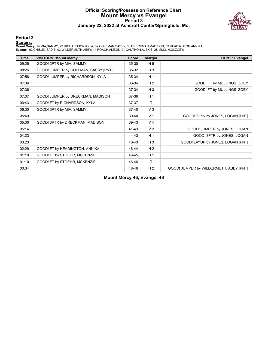#### **Official Scoring/Possession Reference Chart Mount Mercy vs Evangel Period 3 January 22, 2022 at Ashcroft Center/Springfield, Mo.**



#### **Period 3**

#### **Starters:**

Mount Mercy: 14 MIA,SAMMY; 23 RICHARDSON,KYLA; 32 COLEMAN,SASSY; 33 DRECKMAN,MADISON; 53 HEADINGTON,ANNIKA;<br>Evangel: 02 CHISUM,SADIE; 03 WILDERMUTH,ABBY; 14 ROACH,ALEXIS; 21 CAUTHON,ALEXIS; 25 MULLINGS,ZOEY;

| <b>Time</b> | <b>VISITORS: Mount Mercy</b>         | <b>Score</b> | <b>Margin</b>  | <b>HOME: Evangel</b>                   |
|-------------|--------------------------------------|--------------|----------------|----------------------------------------|
| 09:26       | GOOD! 3PTR by MIA, SAMMY             | $35 - 30$    | H <sub>5</sub> |                                        |
| 08:26       | GOOD! JUMPER by COLEMAN, SASSY [PNT] | $35 - 32$    | $H_3$          |                                        |
| 07:56       | GOOD! JUMPER by RICHARDSON, KYLA     | 35-34        | H <sub>1</sub> |                                        |
| 07:36       |                                      | 36-34        | H <sub>2</sub> | GOOD! FT by MULLINGS, ZOEY             |
| 07:36       |                                      | 37-34        | $H_3$          | GOOD! FT by MULLINGS, ZOEY             |
| 07:07       | GOOD! JUMPER by DRECKMAN, MADISON    | 37-36        | H <sub>1</sub> |                                        |
| 06:43       | GOOD! FT by RICHARDSON, KYLA         | 37-37        | $\mathsf{T}$   |                                        |
| 06:30       | GOOD! 3PTR by MIA, SAMMY             | $37 - 40$    | V <sub>3</sub> |                                        |
| 05:49       |                                      | 39-40        | V <sub>1</sub> | GOOD! TIPIN by JONES, LOGAN [PNT]      |
| 05:30       | GOOD! 3PTR by DRECKMAN, MADISON      | 39-43        | V <sub>4</sub> |                                        |
| 05:14       |                                      | 41-43        | V <sub>2</sub> | GOOD! JUMPER by JONES, LOGAN           |
| 04:23       |                                      | 44-43        | H <sub>1</sub> | GOOD! 3PTR by JONES, LOGAN             |
| 03:23       |                                      | 46-43        | $H_3$          | GOOD! LAYUP by JONES, LOGAN [PNT]      |
| 02:29       | GOOD! FT by HEADINGTON, ANNIKA       | 46-44        | H <sub>2</sub> |                                        |
| 01:10       | GOOD! FT by STOEHR, MCKENZIE         | 46-45        | H <sub>1</sub> |                                        |
| 01:10       | GOOD! FT by STOEHR, MCKENZIE         | 46-46        | T              |                                        |
| 00:34       |                                      | 48-46        | H <sub>2</sub> | GOOD! JUMPER by WILDERMUTH, ABBY [PNT] |

**Mount Mercy 46, Evangel 48**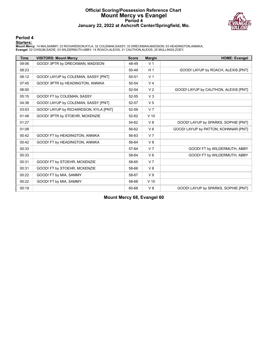#### **Official Scoring/Possession Reference Chart Mount Mercy vs Evangel Period 4 January 22, 2022 at Ashcroft Center/Springfield, Mo.**



#### **Period 4**

#### **Starters:**

Mount Mercy: 14 MIA,SAMMY; 23 RICHARDSON,KYLA; 32 COLEMAN,SASSY; 33 DRECKMAN,MADISON; 53 HEADINGTON,ANNIKA;<br>Evangel: 02 CHISUM,SADIE; 03 WILDERMUTH,ABBY; 14 ROACH,ALEXIS; 21 CAUTHON,ALEXIS; 25 MULLINGS,ZOEY;

| <b>Time</b> | <b>VISITORS: Mount Mercy</b>          | <b>Score</b> | <b>Margin</b>  | <b>HOME: Evangel</b>                 |
|-------------|---------------------------------------|--------------|----------------|--------------------------------------|
| 09:06       | GOOD! 3PTR by DRECKMAN, MADISON       | 48-49        | V <sub>1</sub> |                                      |
| 08:23       |                                       | 50-49        | H <sub>1</sub> | GOOD! LAYUP by ROACH, ALEXIS [PNT]   |
| 08:12       | GOOD! LAYUP by COLEMAN, SASSY [PNT]   | 50-51        | V <sub>1</sub> |                                      |
| 07:45       | GOOD! 3PTR by HEADINGTON, ANNIKA      | 50-54        | V <sub>4</sub> |                                      |
| 06:00       |                                       | 52-54        | V <sub>2</sub> | GOOD! LAYUP by CAUTHON, ALEXIS [PNT] |
| 05:15       | GOOD! FT by COLEMAN, SASSY            | $52 - 55$    | V <sub>3</sub> |                                      |
| 04:38       | GOOD! LAYUP by COLEMAN, SASSY [PNT]   | 52-57        | V <sub>5</sub> |                                      |
| 03:03       | GOOD! LAYUP by RICHARDSON, KYLA [PNT] | 52-59        | V <sub>7</sub> |                                      |
| 01:48       | GOOD! 3PTR by STOEHR, MCKENZIE        | 52-62        | $V$ 10         |                                      |
| 01:27       |                                       | 54-62        | V8             | GOOD! LAYUP by SPARKS, SOPHIE [PNT]  |
| 01:08       |                                       | 56-62        | $V_6$          | GOOD! LAYUP by PATTON, KOHNNAR [PNT] |
| 00:42       | GOOD! FT by HEADINGTON, ANNIKA        | 56-63        | V <sub>7</sub> |                                      |
| 00:42       | GOOD! FT by HEADINGTON, ANNIKA        | 56-64        | V8             |                                      |
| 00:33       |                                       | 57-64        | V <sub>7</sub> | GOOD! FT by WILDERMUTH, ABBY         |
| 00:33       |                                       | 58-64        | $V_6$          | GOOD! FT by WILDERMUTH, ABBY         |
| 00:31       | GOOD! FT by STOEHR, MCKENZIE          | 58-65        | V <sub>7</sub> |                                      |
| 00:31       | GOOD! FT by STOEHR, MCKENZIE          | 58-66        | V8             |                                      |
| 00:22       | GOOD! FT by MIA, SAMMY                | 58-67        | V <sub>9</sub> |                                      |
| 00:22       | GOOD! FT by MIA, SAMMY                | 58-68        | $V$ 10         |                                      |
| 00:19       |                                       | 60-68        | $V_8$          | GOOD! LAYUP by SPARKS, SOPHIE [PNT]  |

**Mount Mercy 68, Evangel 60**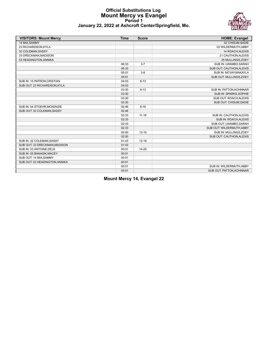#### **Official Substitutions Log Mount Mercy vs Evangel Period 1 January 22, 2022 at Ashcroft Center/Springfield, Mo.**



| <b>VISITORS: Mount Mercy</b>   | <b>Time</b> | <b>Score</b> | <b>HOME: Evangel</b>      |
|--------------------------------|-------------|--------------|---------------------------|
| 14 MIA, SAMMY                  |             |              | 02 CHISUM, SADIE          |
| 23 RICHARDSON, KYLA            |             |              | 03 WILDERMUTH, ABBY       |
| 32 COLEMAN, SASSY              |             |              | 14 ROACH, ALEXIS          |
| 33 DRECKMAN.MADISON            |             |              | 21 CAUTHON.ALEXIS         |
| 53 HEADINGTON, ANNIKA          |             |              | 25 MULLINGS, ZOEY         |
|                                | 06:33       | $3 - 7$      | SUB IN: LWAMBO, SARAH     |
|                                | 06:33       |              | SUB OUT: CAUTHON, ALEXIS  |
|                                | 05:51       | $3 - 8$      | SUB IN: MCVAY, MAKAYLA    |
|                                | 05:51       |              | SUB OUT: MULLINGS, ZOEY   |
| SUB IN: 15 PATRON, CRISTIAN    | 04:03       | $8 - 13$     |                           |
| SUB OUT: 23 RICHARDSON, KYLA   | 04:03       |              |                           |
|                                | 03:30       | $8 - 13$     | SUB IN: PATTON, KOHNNAR   |
|                                | 03:30       |              | SUB IN: SPARKS, SOPHIE    |
|                                | 03:30       |              | SUB OUT: ROACH, ALEXIS    |
|                                | 03:30       |              | SUB OUT: CHISUM, SADIE    |
| SUB IN: 04 STOEHR, MCKENZIE    | 02:46       | $8 - 16$     |                           |
| SUB OUT: 32 COLEMAN, SASSY     | 02:46       |              |                           |
|                                | 02:33       | $11 - 16$    | SUB IN: CAUTHON, ALEXIS   |
|                                | 02:33       |              | SUB IN: ROACH, ALEXIS     |
|                                | 02:33       |              | SUB OUT: LWAMBO, SARAH    |
|                                | 02:33       |              | SUB OUT: WILDERMUTH, ABBY |
|                                | 02:00       | $12 - 16$    | SUB IN: MULLINGS, ZOEY    |
|                                | 02:00       |              | SUB OUT: CAUTHON, ALEXIS  |
| SUB IN: 32 COLEMAN, SASSY      | 01:43       | $12 - 18$    |                           |
| SUB OUT: 33 DRECKMAN.MADISON   | 01:43       |              |                           |
| SUB IN: 03 ANTOINE, DEJA       | 00:51       | $14 - 20$    |                           |
| SUB IN: 05 BANASIK, MACEY      | 00:51       |              |                           |
| SUB OUT: 14 MIA, SAMMY         | 00:51       |              |                           |
| SUB OUT: 53 HEADINGTON, ANNIKA | 00:51       |              |                           |
|                                | 00:51       |              | SUB IN: WILDERMUTH, ABBY  |
|                                | 00:51       |              | SUB OUT: PATTON, KOHNNAR  |

**Mount Mercy 14, Evangel 22**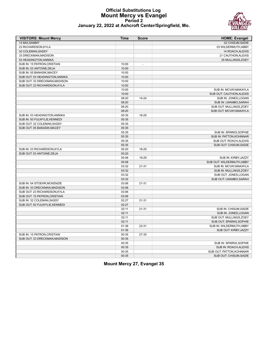#### **Official Substitutions Log Mount Mercy vs Evangel Period 2 January 22, 2022 at Ashcroft Center/Springfield, Mo.**



| <b>VISITORS: Mount Mercy</b>   | Time  | <b>Score</b>   | <b>HOME: Evangel</b>      |
|--------------------------------|-------|----------------|---------------------------|
| 14 MIA, SAMMY                  |       |                | 02 CHISUM, SADIE          |
| 23 RICHARDSON, KYLA            |       |                | 03 WILDERMUTH, ABBY       |
| 32 COLEMAN, SASSY              |       |                | 14 ROACH, ALEXIS          |
| 33 DRECKMAN, MADISON           |       |                | 21 CAUTHON, ALEXIS        |
| 53 HEADINGTON, ANNIKA          |       |                | 25 MULLINGS, ZOEY         |
| SUB IN: 15 PATRON, CRISTIAN    | 10:00 | $\overline{a}$ |                           |
| SUB IN: 03 ANTOINE, DEJA       | 10:00 |                |                           |
| SUB IN: 05 BANASIK.MACEY       | 10:00 |                |                           |
| SUB OUT: 53 HEADINGTON, ANNIKA | 10:00 |                |                           |
| SUB OUT: 33 DRECKMAN, MADISON  | 10:00 |                |                           |
| SUB OUT: 23 RICHARDSON, KYLA   | 10:00 |                |                           |
|                                | 10:00 |                | SUB IN: MCVAY, MAKAYLA    |
|                                | 10:00 |                | SUB OUT: CAUTHON, ALEXIS  |
|                                | 08:20 | $14 - 24$      | SUB IN: JONES, LOGAN      |
|                                | 08:20 |                | SUB IN: LWAMBO, SARAH     |
|                                | 08:20 |                | SUB OUT: MULLINGS, ZOEY   |
|                                | 08:20 |                | SUB OUT: MCVAY, MAKAYLA   |
| SUB IN: 53 HEADINGTON, ANNIKA  | 05:35 | 18-29          |                           |
| SUB IN: 50 FULWYLIE, KENNEDI   | 05:35 |                |                           |
| SUB OUT: 32 COLEMAN, SASSY     | 05:35 |                |                           |
| SUB OUT: 05 BANASIK, MACEY     | 05:35 |                |                           |
|                                | 05:35 |                | SUB IN: SPARKS.SOPHIE     |
|                                | 05:35 |                | SUB IN: PATTON, KOHNNAR   |
|                                | 05:35 |                | SUB OUT: ROACH, ALEXIS    |
|                                | 05:35 |                | SUB OUT: CHISUM, SADIE    |
| SUB IN: 23 RICHARDSON, KYLA    | 05:20 | 18-29          |                           |
| SUB OUT: 03 ANTOINE, DEJA      | 05:20 |                |                           |
|                                | 05:08 | 19-29          | SUB IN: KIRBY, JAZZY      |
|                                | 05:08 |                | SUB OUT: WILDERMUTH, ABBY |
|                                | 03:32 | $21 - 31$      | SUB IN: MCVAY, MAKAYLA    |
|                                | 03:32 |                | SUB IN: MULLINGS, ZOEY    |
|                                | 03:32 |                | SUB OUT: JONES, LOGAN     |
|                                | 03:32 |                | SUB OUT: LWAMBO, SARAH    |
| SUB IN: 04 STOEHR, MCKENZIE    | 03:06 | $21 - 31$      |                           |
| SUB IN: 33 DRECKMAN.MADISON    | 03:06 |                |                           |
| SUB OUT: 23 RICHARDSON.KYLA    | 03:06 |                |                           |
| SUB OUT: 15 PATRON, CRISTIAN   | 03:06 |                |                           |
| SUB IN: 32 COLEMAN, SASSY      | 02:27 | $21 - 31$      |                           |
| SUB OUT: 50 FULWYLIE, KENNEDI  | 02:27 |                |                           |
|                                | 02:11 | $21 - 31$      | SUB IN: CHISUM, SADIE     |
|                                | 02:11 |                | SUB IN: JONES, LOGAN      |
|                                | 02:11 |                | SUB OUT: MULLINGS, ZOEY   |
|                                | 02:11 |                | SUB OUT: SPARKS, SOPHIE   |
|                                | 01:36 | 23-31          | SUB IN: WILDERMUTH, ABBY  |
|                                | 01:36 |                | SUB OUT: KIRBY, JAZZY     |
| SUB IN: 15 PATRON, CRISTIAN    | 00:35 | 27-35          |                           |
| SUB OUT: 33 DRECKMAN, MADISON  | 00:35 |                |                           |
|                                | 00:35 |                | SUB IN: SPARKS, SOPHIE    |
|                                | 00:35 |                | SUB IN: ROACH.ALEXIS      |
|                                | 00:35 |                | SUB OUT: PATTON.KOHNNAR   |
|                                | 00:35 |                | SUB OUT: CHISUM, SADIE    |
|                                |       |                |                           |

**Mount Mercy 27, Evangel 35**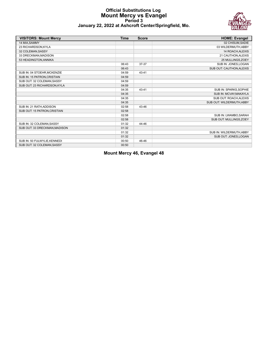#### **Official Substitutions Log Mount Mercy vs Evangel Period 3 January 22, 2022 at Ashcroft Center/Springfield, Mo.**



| <b>VISITORS: Mount Mercy</b>  | <b>Time</b> | <b>Score</b> | <b>HOME: Evangel</b>      |
|-------------------------------|-------------|--------------|---------------------------|
| 14 MIA, SAMMY                 |             |              | 02 CHISUM, SADIE          |
| 23 RICHARDSON, KYLA           |             |              | 03 WILDERMUTH, ABBY       |
| 32 COLEMAN, SASSY             |             |              | 14 ROACH, ALEXIS          |
| 33 DRECKMAN, MADISON          |             |              | 21 CAUTHON, ALEXIS        |
| 53 HEADINGTON, ANNIKA         |             |              | 25 MULLINGS, ZOEY         |
|                               | 06:43       | 37-37        | SUB IN: JONES, LOGAN      |
|                               | 06:43       |              | SUB OUT: CAUTHON, ALEXIS  |
| SUB IN: 04 STOEHR, MCKENZIE   | 04:59       | 43-41        |                           |
| SUB IN: 15 PATRON, CRISTIAN   | 04:59       |              |                           |
| SUB OUT: 32 COLEMAN, SASSY    | 04:59       |              |                           |
| SUB OUT: 23 RICHARDSON, KYLA  | 04:59       |              |                           |
|                               | 04:35       | 43-41        | SUB IN: SPARKS, SOPHIE    |
|                               | 04:35       |              | SUB IN: MCVAY, MAKAYLA    |
|                               | 04:35       |              | SUB OUT: ROACH, ALEXIS    |
|                               | 04:35       |              | SUB OUT: WILDERMUTH, ABBY |
| SUB IN: 21 RATH, ADDISON      | 02:58       | 43-46        |                           |
| SUB OUT: 15 PATRON.CRISTIAN   | 02:58       |              |                           |
|                               | 02:58       |              | SUB IN: LWAMBO, SARAH     |
|                               | 02:58       |              | SUB OUT: MULLINGS, ZOEY   |
| SUB IN: 32 COLEMAN.SASSY      | 01:32       | 44-46        |                           |
| SUB OUT: 33 DRECKMAN, MADISON | 01:32       |              |                           |
|                               | 01:32       |              | SUB IN: WILDERMUTH, ABBY  |
|                               | 01:32       |              | SUB OUT: JONES, LOGAN     |
| SUB IN: 50 FULWYLIE, KENNEDI  | 00:50       | 46-46        |                           |
| SUB OUT: 32 COLEMAN, SASSY    | 00:50       |              |                           |

**Mount Mercy 46, Evangel 48**